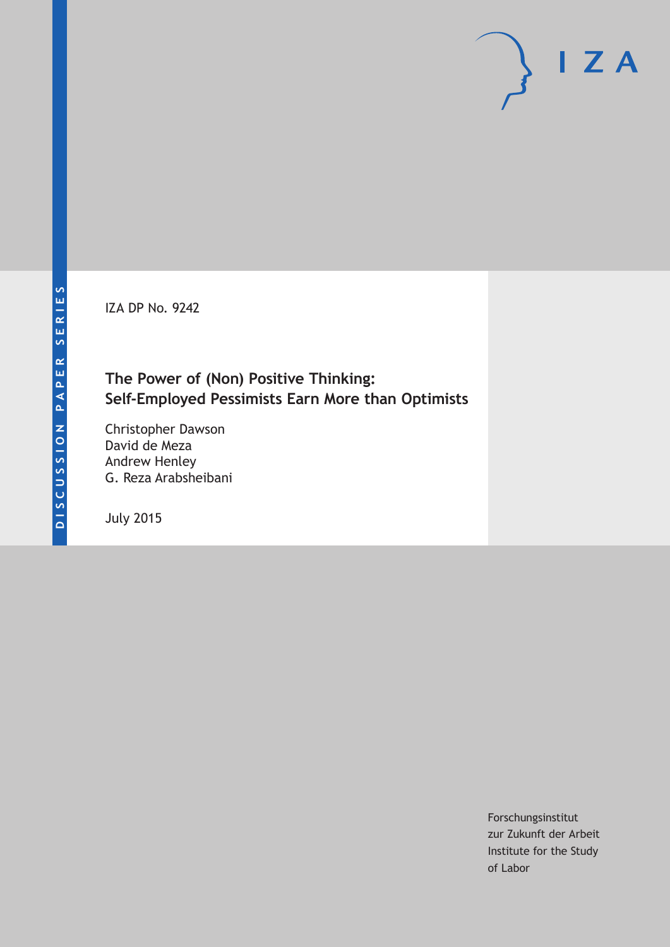IZA DP No. 9242

# **The Power of (Non) Positive Thinking: Self-Employed Pessimists Earn More than Optimists**

Christopher Dawson David de Meza Andrew Henley G. Reza Arabsheibani

July 2015

Forschungsinstitut zur Zukunft der Arbeit Institute for the Study of Labor

 $I Z A$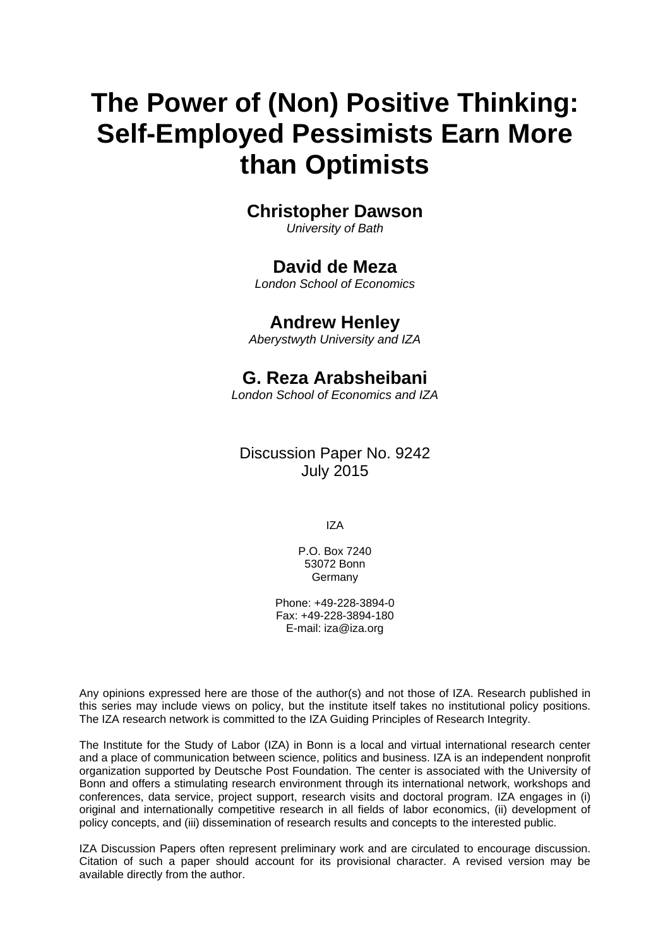# **The Power of (Non) Positive Thinking: Self-Employed Pessimists Earn More than Optimists**

# **Christopher Dawson**

*University of Bath* 

### **David de Meza**

*London School of Economics* 

### **Andrew Henley**

*Aberystwyth University and IZA*

# **G. Reza Arabsheibani**

*London School of Economics and IZA* 

Discussion Paper No. 9242 July 2015

IZA

P.O. Box 7240 53072 Bonn Germany

Phone: +49-228-3894-0 Fax: +49-228-3894-180 E-mail: iza@iza.org

Any opinions expressed here are those of the author(s) and not those of IZA. Research published in this series may include views on policy, but the institute itself takes no institutional policy positions. The IZA research network is committed to the IZA Guiding Principles of Research Integrity.

The Institute for the Study of Labor (IZA) in Bonn is a local and virtual international research center and a place of communication between science, politics and business. IZA is an independent nonprofit organization supported by Deutsche Post Foundation. The center is associated with the University of Bonn and offers a stimulating research environment through its international network, workshops and conferences, data service, project support, research visits and doctoral program. IZA engages in (i) original and internationally competitive research in all fields of labor economics, (ii) development of policy concepts, and (iii) dissemination of research results and concepts to the interested public.

IZA Discussion Papers often represent preliminary work and are circulated to encourage discussion. Citation of such a paper should account for its provisional character. A revised version may be available directly from the author.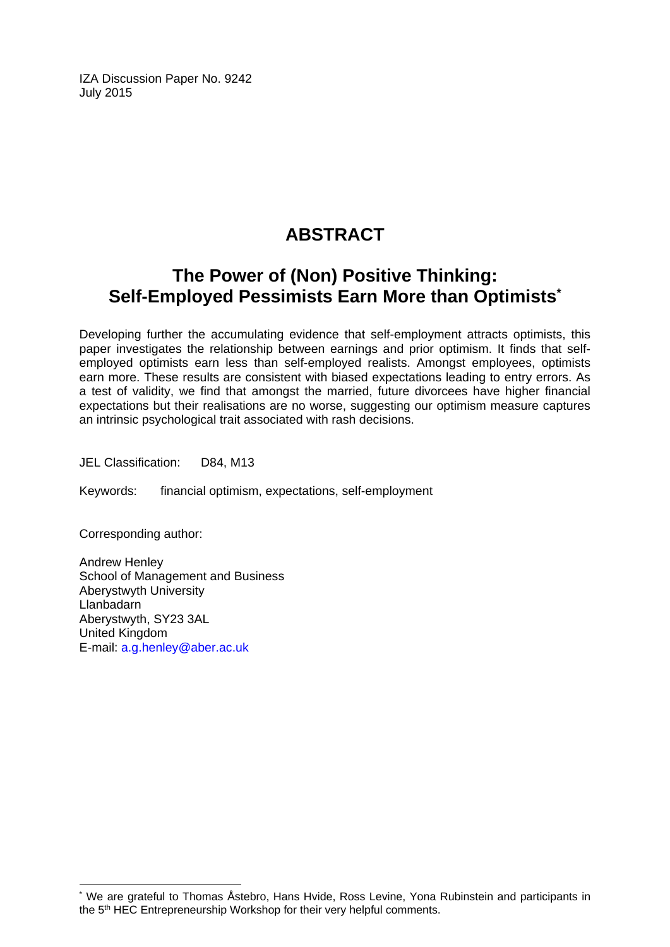IZA Discussion Paper No. 9242 July 2015

# **ABSTRACT**

# **The Power of (Non) Positive Thinking: Self-Employed Pessimists Earn More than Optimists\***

Developing further the accumulating evidence that self-employment attracts optimists, this paper investigates the relationship between earnings and prior optimism. It finds that selfemployed optimists earn less than self-employed realists. Amongst employees, optimists earn more. These results are consistent with biased expectations leading to entry errors. As a test of validity, we find that amongst the married, future divorcees have higher financial expectations but their realisations are no worse, suggesting our optimism measure captures an intrinsic psychological trait associated with rash decisions.

JEL Classification: D84, M13

Keywords: financial optimism, expectations, self-employment

Corresponding author:

 $\overline{a}$ 

Andrew Henley School of Management and Business Aberystwyth University Llanbadarn Aberystwyth, SY23 3AL United Kingdom E-mail: a.g.henley@aber.ac.uk

<sup>\*</sup> We are grateful to Thomas Åstebro, Hans Hvide, Ross Levine, Yona Rubinstein and participants in the 5<sup>th</sup> HEC Entrepreneurship Workshop for their very helpful comments.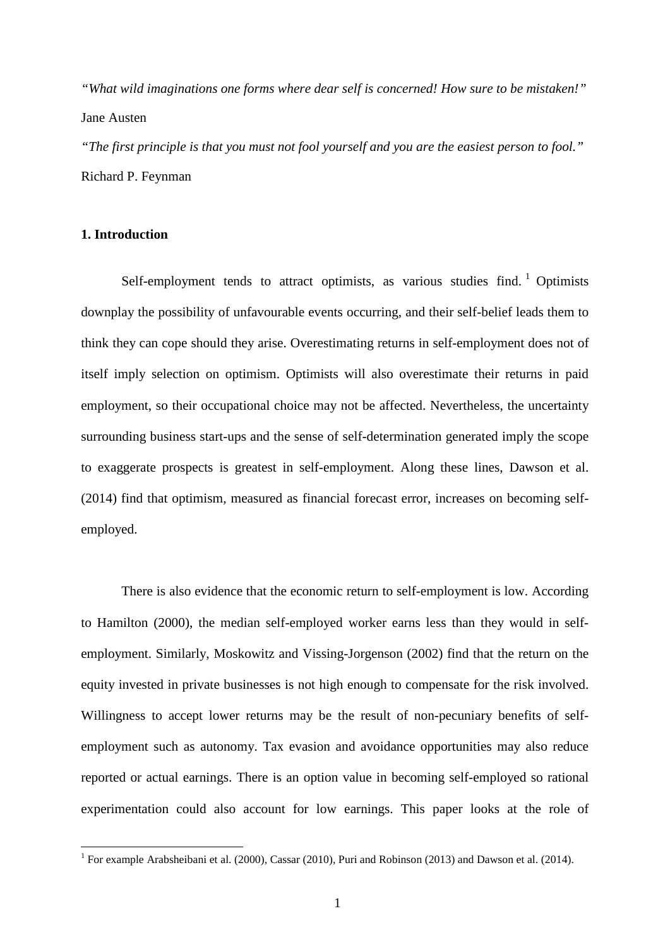*"What wild imaginations one forms where dear self is concerned! How sure to be mistaken!"* Jane Austen

*"The first principle is that you must not fool yourself and you are the easiest person to fool."* Richard P. Feynman

#### **1. Introduction**

Self-employment tends to attract optimists, as various studies find.  $1$  Optimists downplay the possibility of unfavourable events occurring, and their self-belief leads them to think they can cope should they arise. Overestimating returns in self-employment does not of itself imply selection on optimism. Optimists will also overestimate their returns in paid employment, so their occupational choice may not be affected. Nevertheless, the uncertainty surrounding business start-ups and the sense of self-determination generated imply the scope to exaggerate prospects is greatest in self-employment. Along these lines, Dawson et al. (2014) find that optimism, measured as financial forecast error, increases on becoming selfemployed.

There is also evidence that the economic return to self-employment is low. According to Hamilton (2000), the median self-employed worker earns less than they would in selfemployment. Similarly, Moskowitz and Vissing-Jorgenson (2002) find that the return on the equity invested in private businesses is not high enough to compensate for the risk involved. Willingness to accept lower returns may be the result of non-pecuniary benefits of selfemployment such as autonomy. Tax evasion and avoidance opportunities may also reduce reported or actual earnings. There is an option value in becoming self-employed so rational experimentation could also account for low earnings. This paper looks at the role of

<span id="page-3-0"></span><sup>&</sup>lt;sup>1</sup> For example Arabsheibani et al. (2000), Cassar (2010), Puri and Robinson (2013) and Dawson et al. (2014).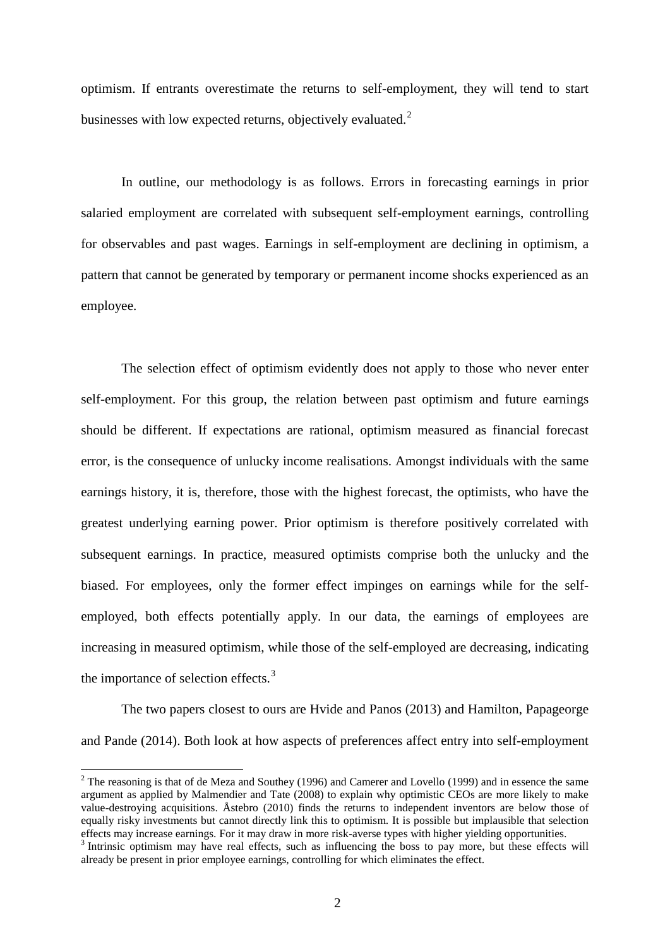optimism. If entrants overestimate the returns to self-employment, they will tend to start businesses with low expected returns, objectively evaluated.<sup>[2](#page-3-0)</sup>

In outline, our methodology is as follows. Errors in forecasting earnings in prior salaried employment are correlated with subsequent self-employment earnings, controlling for observables and past wages. Earnings in self-employment are declining in optimism, a pattern that cannot be generated by temporary or permanent income shocks experienced as an employee.

The selection effect of optimism evidently does not apply to those who never enter self-employment. For this group, the relation between past optimism and future earnings should be different. If expectations are rational, optimism measured as financial forecast error, is the consequence of unlucky income realisations. Amongst individuals with the same earnings history, it is, therefore, those with the highest forecast, the optimists, who have the greatest underlying earning power. Prior optimism is therefore positively correlated with subsequent earnings. In practice, measured optimists comprise both the unlucky and the biased. For employees, only the former effect impinges on earnings while for the selfemployed, both effects potentially apply. In our data, the earnings of employees are increasing in measured optimism, while those of the self-employed are decreasing, indicating the importance of selection effects.<sup>[3](#page-4-1)</sup>

The two papers closest to ours are Hvide and Panos (2013) and Hamilton, Papageorge and Pande (2014). Both look at how aspects of preferences affect entry into self-employment

<sup>&</sup>lt;sup>2</sup> The reasoning is that of de Meza and Southey (1996) and Camerer and Lovello (1999) and in essence the same argument as applied by Malmendier and Tate (2008) to explain why optimistic CEOs are more likely to make value-destroying acquisitions. Åstebro (2010) finds the returns to independent inventors are below those of equally risky investments but cannot directly link this to optimism. It is possible but implausible that selection

<span id="page-4-1"></span><span id="page-4-0"></span>effects may increase earnings. For it may draw in more risk-averse types with higher yielding opportunities. <sup>3</sup> Intrinsic optimism may have real effects, such as influencing the boss to pay more, but these effects will already be present in prior employee earnings, controlling for which eliminates the effect.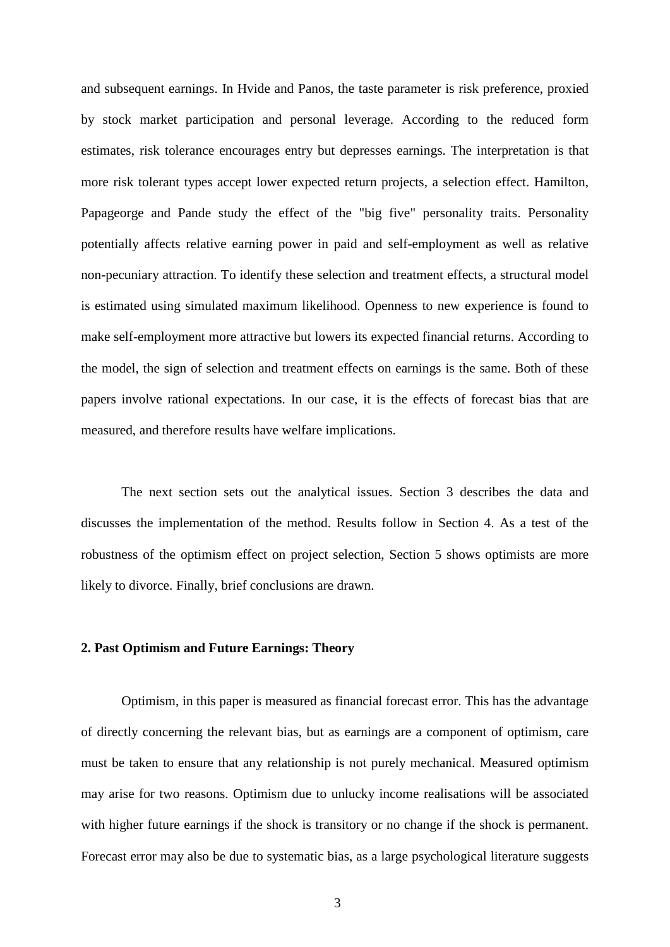and subsequent earnings. In Hvide and Panos, the taste parameter is risk preference, proxied by stock market participation and personal leverage. According to the reduced form estimates, risk tolerance encourages entry but depresses earnings. The interpretation is that more risk tolerant types accept lower expected return projects, a selection effect. Hamilton, Papageorge and Pande study the effect of the "big five" personality traits. Personality potentially affects relative earning power in paid and self-employment as well as relative non-pecuniary attraction. To identify these selection and treatment effects, a structural model is estimated using simulated maximum likelihood. Openness to new experience is found to make self-employment more attractive but lowers its expected financial returns. According to the model, the sign of selection and treatment effects on earnings is the same. Both of these papers involve rational expectations. In our case, it is the effects of forecast bias that are measured, and therefore results have welfare implications.

The next section sets out the analytical issues. Section 3 describes the data and discusses the implementation of the method. Results follow in Section 4. As a test of the robustness of the optimism effect on project selection, Section 5 shows optimists are more likely to divorce. Finally, brief conclusions are drawn.

#### **2. Past Optimism and Future Earnings: Theory**

Optimism, in this paper is measured as financial forecast error. This has the advantage of directly concerning the relevant bias, but as earnings are a component of optimism, care must be taken to ensure that any relationship is not purely mechanical. Measured optimism may arise for two reasons. Optimism due to unlucky income realisations will be associated with higher future earnings if the shock is transitory or no change if the shock is permanent. Forecast error may also be due to systematic bias, as a large psychological literature suggests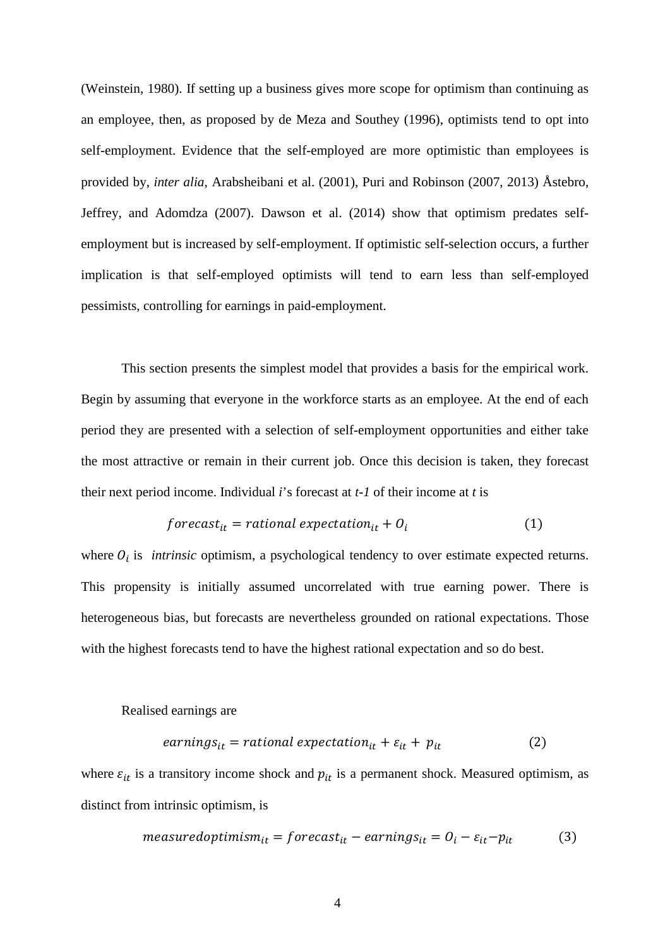(Weinstein, 1980). If setting up a business gives more scope for optimism than continuing as an employee, then, as proposed by de Meza and Southey (1996), optimists tend to opt into self-employment. Evidence that the self-employed are more optimistic than employees is provided by, *inter alia*, Arabsheibani et al. (2001), Puri and Robinson (2007, 2013) Åstebro, Jeffrey, and Adomdza (2007). Dawson et al. (2014) show that optimism predates selfemployment but is increased by self-employment. If optimistic self-selection occurs, a further implication is that self-employed optimists will tend to earn less than self-employed pessimists, controlling for earnings in paid-employment.

This section presents the simplest model that provides a basis for the empirical work. Begin by assuming that everyone in the workforce starts as an employee. At the end of each period they are presented with a selection of self-employment opportunities and either take the most attractive or remain in their current job. Once this decision is taken, they forecast their next period income. Individual *i*'s forecast at *t-1* of their income at *t* is

$$
forecastit = rational expectationit + 0i
$$
 (1)

where  $O_i$  is *intrinsic* optimism, a psychological tendency to over estimate expected returns. This propensity is initially assumed uncorrelated with true earning power. There is heterogeneous bias, but forecasts are nevertheless grounded on rational expectations. Those with the highest forecasts tend to have the highest rational expectation and so do best.

#### Realised earnings are

$$
earnings_{it} = rational expectation_{it} + \varepsilon_{it} + p_{it}
$$
 (2)

where  $\varepsilon_{it}$  is a transitory income shock and  $p_{it}$  is a permanent shock. Measured optimism, as distinct from intrinsic optimism, is

$$
measured optimism_{it} = forecast_{it} - earnings_{it} = 0_i - \varepsilon_{it} - p_{it}
$$
(3)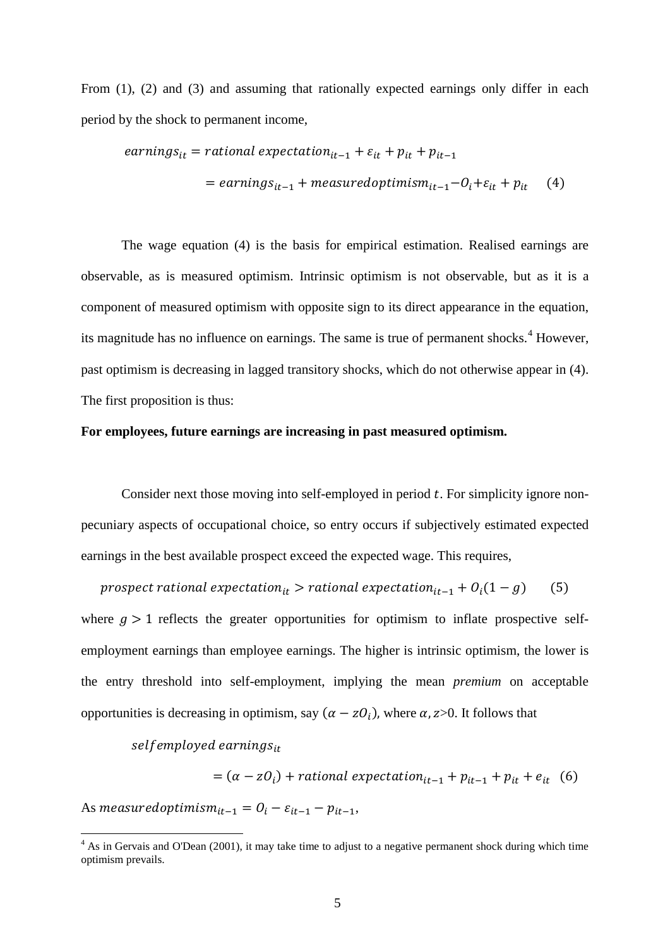From (1), (2) and (3) and assuming that rationally expected earnings only differ in each period by the shock to permanent income,

$$
earnings_{it} = rational expectation_{it-1} + \varepsilon_{it} + p_{it} + p_{it-1}
$$

$$
= earnings_{it-1} + measured optimism_{it-1} - O_i + \varepsilon_{it} + p_{it} \qquad (4)
$$

The wage equation (4) is the basis for empirical estimation. Realised earnings are observable, as is measured optimism. Intrinsic optimism is not observable, but as it is a component of measured optimism with opposite sign to its direct appearance in the equation, its magnitude has no influence on earnings. The same is true of permanent shocks.<sup>[4](#page-4-1)</sup> However, past optimism is decreasing in lagged transitory shocks, which do not otherwise appear in (4). The first proposition is thus:

#### **For employees, future earnings are increasing in past measured optimism.**

Consider next those moving into self-employed in period  $t$ . For simplicity ignore nonpecuniary aspects of occupational choice, so entry occurs if subjectively estimated expected earnings in the best available prospect exceed the expected wage. This requires,

prospect rational expectation<sub>it</sub> > rational expectation<sub>it-1</sub> +  $O_i(1-g)$  (5) where  $g > 1$  reflects the greater opportunities for optimism to inflate prospective selfemployment earnings than employee earnings. The higher is intrinsic optimism, the lower is the entry threshold into self-employment, implying the mean *premium* on acceptable opportunities is decreasing in optimism, say  $(\alpha - z0_i)$ , where  $\alpha$ , z>0. It follows that

selfemployed earnings $_{it}$ 

$$
= (\alpha - z0_i) + rational expectation_{it-1} + p_{it-1} + p_{it} + e_{it} \quad (6)
$$

<span id="page-7-0"></span>As measured optimism<sub>it-1</sub> =  $0_i - \varepsilon_{it-1} - p_{it-1}$ ,

<sup>&</sup>lt;sup>4</sup> As in Gervais and O'Dean (2001), it may take time to adjust to a negative permanent shock during which time optimism prevails.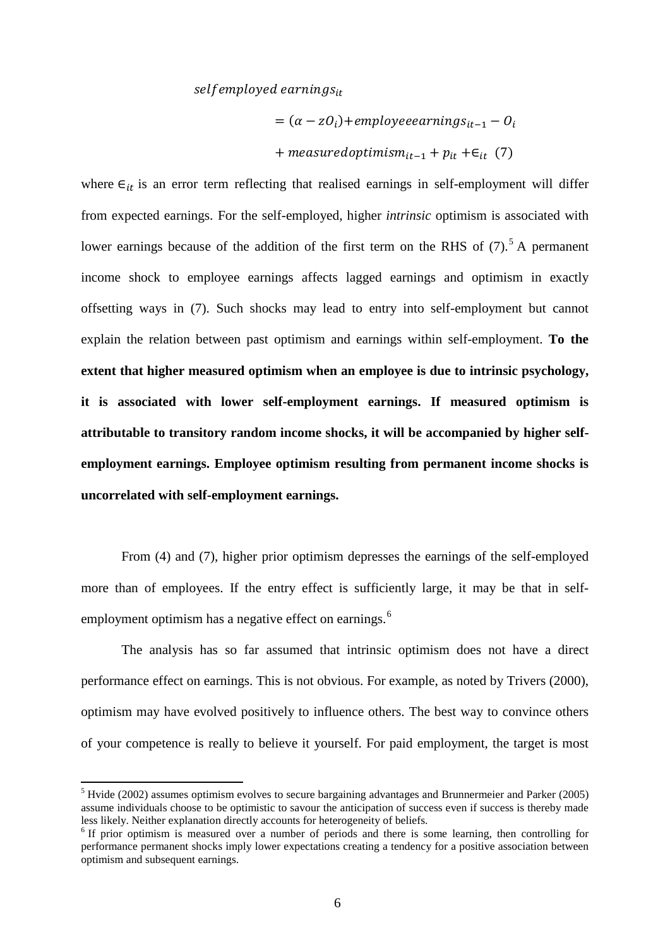#### selfemployed earnings $_{it}$

$$
= (\alpha - z0_i) + employee earnings_{it-1} - 0_i
$$
  
+ *measured optimism*<sub>it-1</sub> + *p*<sub>it</sub> + $\epsilon$ <sub>it</sub> (7)

where  $\epsilon_{it}$  is an error term reflecting that realised earnings in self-employment will differ from expected earnings. For the self-employed, higher *intrinsic* optimism is associated with lower earnings because of the addition of the first term on the RHS of  $(7)$ .<sup>[5](#page-7-0)</sup> A permanent income shock to employee earnings affects lagged earnings and optimism in exactly offsetting ways in (7). Such shocks may lead to entry into self-employment but cannot explain the relation between past optimism and earnings within self-employment. **To the extent that higher measured optimism when an employee is due to intrinsic psychology, it is associated with lower self-employment earnings. If measured optimism is attributable to transitory random income shocks, it will be accompanied by higher selfemployment earnings. Employee optimism resulting from permanent income shocks is uncorrelated with self-employment earnings.**

From (4) and (7), higher prior optimism depresses the earnings of the self-employed more than of employees. If the entry effect is sufficiently large, it may be that in self-employment optimism has a negative effect on earnings.<sup>[6](#page-8-0)</sup>

The analysis has so far assumed that intrinsic optimism does not have a direct performance effect on earnings. This is not obvious. For example, as noted by Trivers (2000), optimism may have evolved positively to influence others. The best way to convince others of your competence is really to believe it yourself. For paid employment, the target is most

 $<sup>5</sup>$  Hvide (2002) assumes optimism evolves to secure bargaining advantages and Brunnermeier and Parker (2005)</sup> assume individuals choose to be optimistic to savour the anticipation of success even if success is thereby made less likely. Neither explanation directly accounts for heterogeneity of beliefs.

<span id="page-8-1"></span><span id="page-8-0"></span><sup>&</sup>lt;sup>6</sup> If prior optimism is measured over a number of periods and there is some learning, then controlling for performance permanent shocks imply lower expectations creating a tendency for a positive association between optimism and subsequent earnings.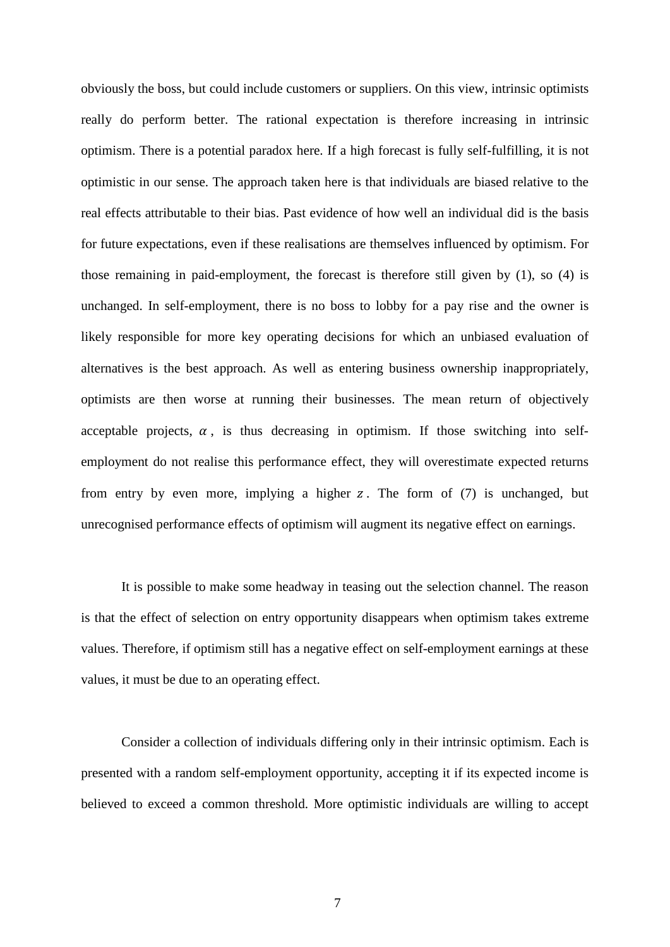obviously the boss, but could include customers or suppliers. On this view, intrinsic optimists really do perform better. The rational expectation is therefore increasing in intrinsic optimism. There is a potential paradox here. If a high forecast is fully self-fulfilling, it is not optimistic in our sense. The approach taken here is that individuals are biased relative to the real effects attributable to their bias. Past evidence of how well an individual did is the basis for future expectations, even if these realisations are themselves influenced by optimism. For those remaining in paid-employment, the forecast is therefore still given by (1), so (4) is unchanged. In self-employment, there is no boss to lobby for a pay rise and the owner is likely responsible for more key operating decisions for which an unbiased evaluation of alternatives is the best approach. As well as entering business ownership inappropriately, optimists are then worse at running their businesses. The mean return of objectively acceptable projects,  $\alpha$ , is thus decreasing in optimism. If those switching into selfemployment do not realise this performance effect, they will overestimate expected returns from entry by even more, implying a higher  $z$ . The form of  $(7)$  is unchanged, but unrecognised performance effects of optimism will augment its negative effect on earnings.

It is possible to make some headway in teasing out the selection channel. The reason is that the effect of selection on entry opportunity disappears when optimism takes extreme values. Therefore, if optimism still has a negative effect on self-employment earnings at these values, it must be due to an operating effect.

Consider a collection of individuals differing only in their intrinsic optimism. Each is presented with a random self-employment opportunity, accepting it if its expected income is believed to exceed a common threshold. More optimistic individuals are willing to accept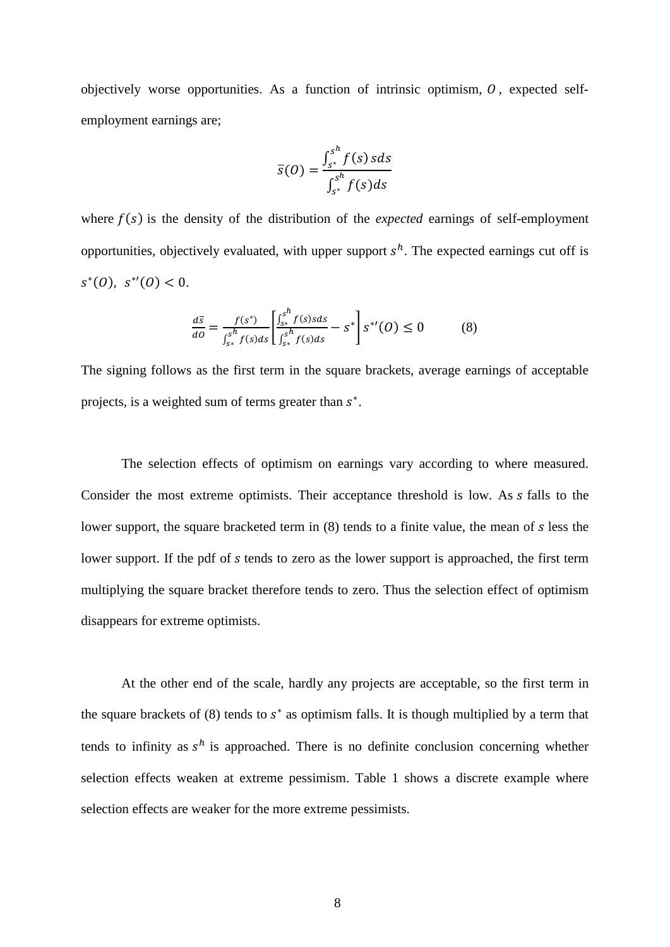objectively worse opportunities. As a function of intrinsic optimism,  $\theta$ , expected selfemployment earnings are;

$$
\overline{s}(0) = \frac{\int_{s^*}^{s^h} f(s) \, s ds}{\int_{s^*}^{s^h} f(s) ds}
$$

where  $f(s)$  is the density of the distribution of the *expected* earnings of self-employment opportunities, objectively evaluated, with upper support  $s<sup>h</sup>$ . The expected earnings cut off is  $s^*(0)$ ,  $s^*(0) < 0$ .

$$
\frac{d\overline{s}}{d\theta} = \frac{f(s^*)}{\int_{s^*}^{s^h} f(s)ds} \left[ \frac{\int_{s^*}^{s^h} f(s)sds}{\int_{s^*}^{s^h} f(s)ds} - s^* \right] s^{*'}(0) \le 0 \tag{8}
$$

The signing follows as the first term in the square brackets, average earnings of acceptable projects, is a weighted sum of terms greater than  $s^*$ .

The selection effects of optimism on earnings vary according to where measured. Consider the most extreme optimists. Their acceptance threshold is low. As falls to the lower support, the square bracketed term in  $(8)$  tends to a finite value, the mean of  $s$  less the lower support. If the pdf of s tends to zero as the lower support is approached, the first term multiplying the square bracket therefore tends to zero. Thus the selection effect of optimism disappears for extreme optimists.

At the other end of the scale, hardly any projects are acceptable, so the first term in the square brackets of (8) tends to  $s^*$  as optimism falls. It is though multiplied by a term that tends to infinity as  $s^h$  is approached. There is no definite conclusion concerning whether selection effects weaken at extreme pessimism. Table 1 shows a discrete example where selection effects are weaker for the more extreme pessimists.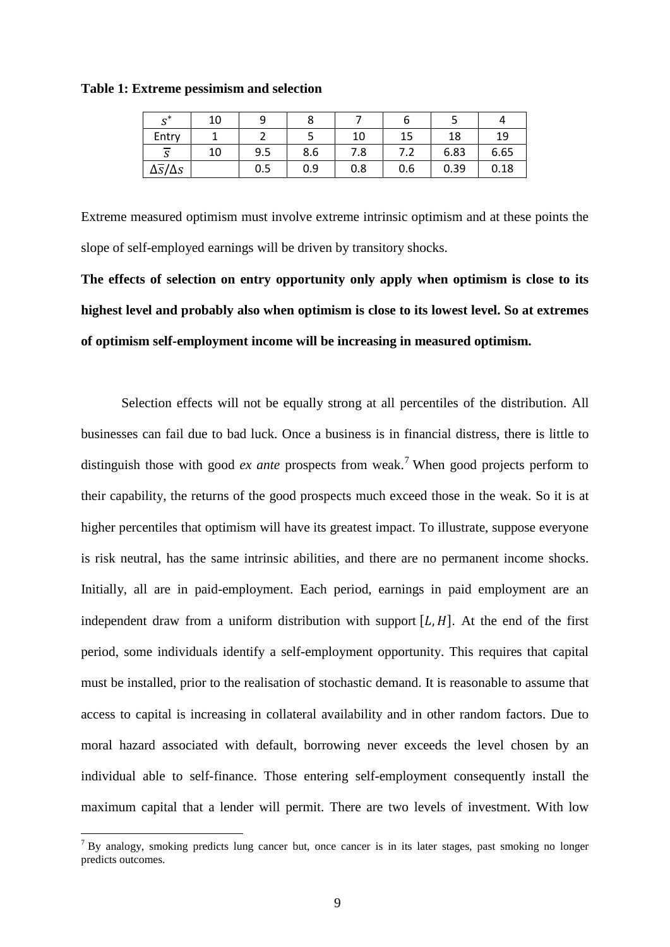**Table 1: Extreme pessimism and selection**

| $\mathbf{c}^*$                 | 10 |     |     |     |     |      |      |
|--------------------------------|----|-----|-----|-----|-----|------|------|
| Entry                          |    |     |     | 10  |     | 18   | 19   |
| $\sim$<br>$\sim$<br>د          | 10 | 9.5 | 8.6 | 7.8 | 7.Z | 6.83 | 6.65 |
| $\Delta \overline{s}/\Delta s$ |    | 0.5 | 0.9 | 0.8 | 0.6 | 0.39 | 0.18 |

Extreme measured optimism must involve extreme intrinsic optimism and at these points the slope of self-employed earnings will be driven by transitory shocks.

**The effects of selection on entry opportunity only apply when optimism is close to its highest level and probably also when optimism is close to its lowest level. So at extremes of optimism self-employment income will be increasing in measured optimism.**

Selection effects will not be equally strong at all percentiles of the distribution. All businesses can fail due to bad luck. Once a business is in financial distress, there is little to distinguish those with good *ex ante* prospects from weak.<sup>[7](#page-8-1)</sup> When good projects perform to their capability, the returns of the good prospects much exceed those in the weak. So it is at higher percentiles that optimism will have its greatest impact. To illustrate, suppose everyone is risk neutral, has the same intrinsic abilities, and there are no permanent income shocks. Initially, all are in paid-employment. Each period, earnings in paid employment are an independent draw from a uniform distribution with support  $[L, H]$ . At the end of the first period, some individuals identify a self-employment opportunity. This requires that capital must be installed, prior to the realisation of stochastic demand. It is reasonable to assume that access to capital is increasing in collateral availability and in other random factors. Due to moral hazard associated with default, borrowing never exceeds the level chosen by an individual able to self-finance. Those entering self-employment consequently install the maximum capital that a lender will permit. There are two levels of investment. With low

<span id="page-11-0"></span> $<sup>7</sup>$  By analogy, smoking predicts lung cancer but, once cancer is in its later stages, past smoking no longer</sup> predicts outcomes.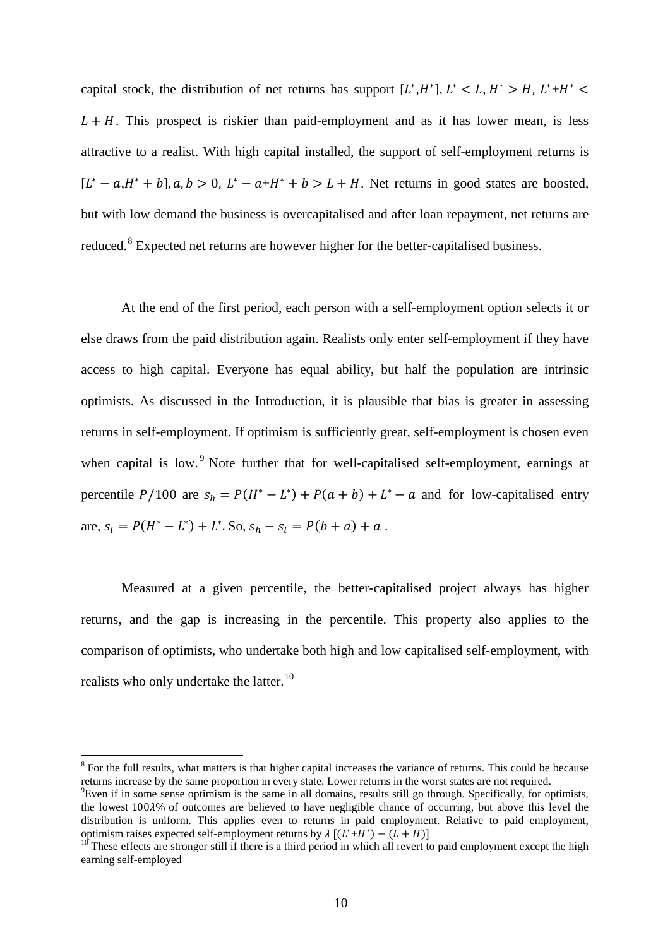capital stock, the distribution of net returns has support  $[L^*, H^*], L^* < L, H^* > H, L^* + H^* <$  $L + H$ . This prospect is riskier than paid-employment and as it has lower mean, is less attractive to a realist. With high capital installed, the support of self-employment returns is  $[L^* - a, H^* + b]$ ,  $a, b > 0$ ,  $L^* - a + H^* + b > L + H$ . Net returns in good states are boosted, but with low demand the business is overcapitalised and after loan repayment, net returns are reduced.<sup>[8](#page-11-0)</sup> Expected net returns are however higher for the better-capitalised business.

At the end of the first period, each person with a self-employment option selects it or else draws from the paid distribution again. Realists only enter self-employment if they have access to high capital. Everyone has equal ability, but half the population are intrinsic optimists. As discussed in the Introduction, it is plausible that bias is greater in assessing returns in self-employment. If optimism is sufficiently great, self-employment is chosen even when capital is low.<sup>[9](#page-12-0)</sup> Note further that for well-capitalised self-employment, earnings at percentile  $P/100$  are  $s_h = P(H^* - L^*) + P(a + b) + L^* - a$  and for low-capitalised entry are,  $s_1 = P(H^* - L^*) + L^*$ . So,  $s_h - s_l = P(b + a) + a$ .

Measured at a given percentile, the better-capitalised project always has higher returns, and the gap is increasing in the percentile. This property also applies to the comparison of optimists, who undertake both high and low capitalised self-employment, with realists who only undertake the latter.<sup>[10](#page-12-1)</sup>

<sup>&</sup>lt;sup>8</sup> For the full results, what matters is that higher capital increases the variance of returns. This could be because returns increase by the same proportion in every state. Lower returns in the worst states are not required.

<span id="page-12-0"></span> ${}^{9}$ Even if in some sense optimism is the same in all domains, results still go through. Specifically, for optimists, the lowest 100% of outcomes are believed to have negligible chance of occurring, but above this level the distribution is uniform. This applies even to returns in paid employment. Relative to paid employment, optimism raises expected self-employment returns by  $\lambda [(L^* + H^*) - (L + H)]$ 

<span id="page-12-2"></span><span id="page-12-1"></span>These effects are stronger still if there is a third period in which all revert to paid employment except the high earning self-employed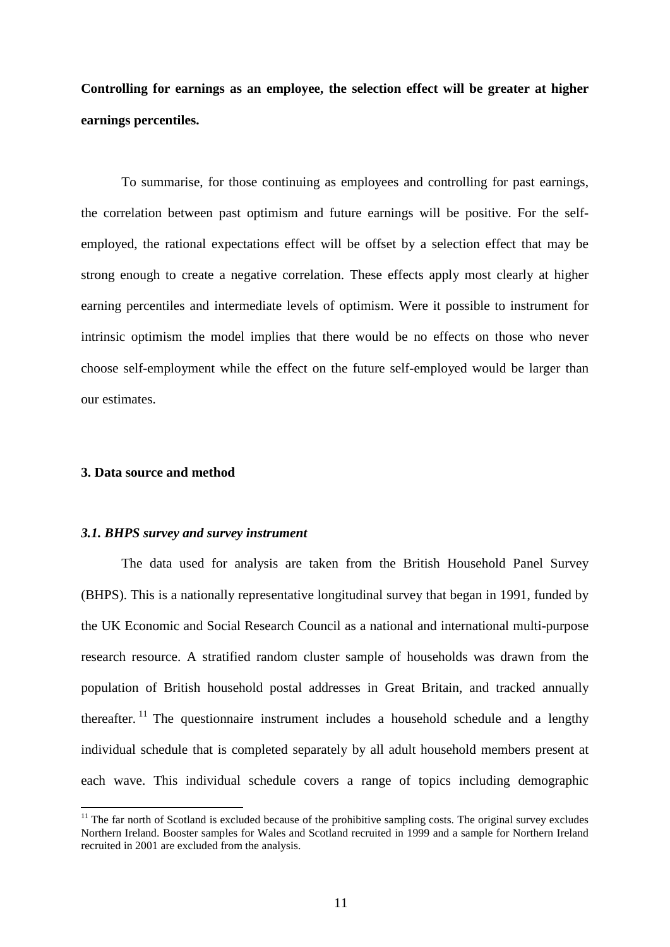**Controlling for earnings as an employee, the selection effect will be greater at higher earnings percentiles.** 

To summarise, for those continuing as employees and controlling for past earnings, the correlation between past optimism and future earnings will be positive. For the selfemployed, the rational expectations effect will be offset by a selection effect that may be strong enough to create a negative correlation. These effects apply most clearly at higher earning percentiles and intermediate levels of optimism. Were it possible to instrument for intrinsic optimism the model implies that there would be no effects on those who never choose self-employment while the effect on the future self-employed would be larger than our estimates.

#### **3. Data source and method**

#### *3.1. BHPS survey and survey instrument*

The data used for analysis are taken from the British Household Panel Survey (BHPS). This is a nationally representative longitudinal survey that began in 1991, funded by the UK Economic and Social Research Council as a national and international multi-purpose research resource. A stratified random cluster sample of households was drawn from the population of British household postal addresses in Great Britain, and tracked annually thereafter.<sup>[11](#page-12-2)</sup> The questionnaire instrument includes a household schedule and a lengthy individual schedule that is completed separately by all adult household members present at each wave. This individual schedule covers a range of topics including demographic

<span id="page-13-0"></span><sup>&</sup>lt;sup>11</sup> The far north of Scotland is excluded because of the prohibitive sampling costs. The original survey excludes Northern Ireland. Booster samples for Wales and Scotland recruited in 1999 and a sample for Northern Ireland recruited in 2001 are excluded from the analysis.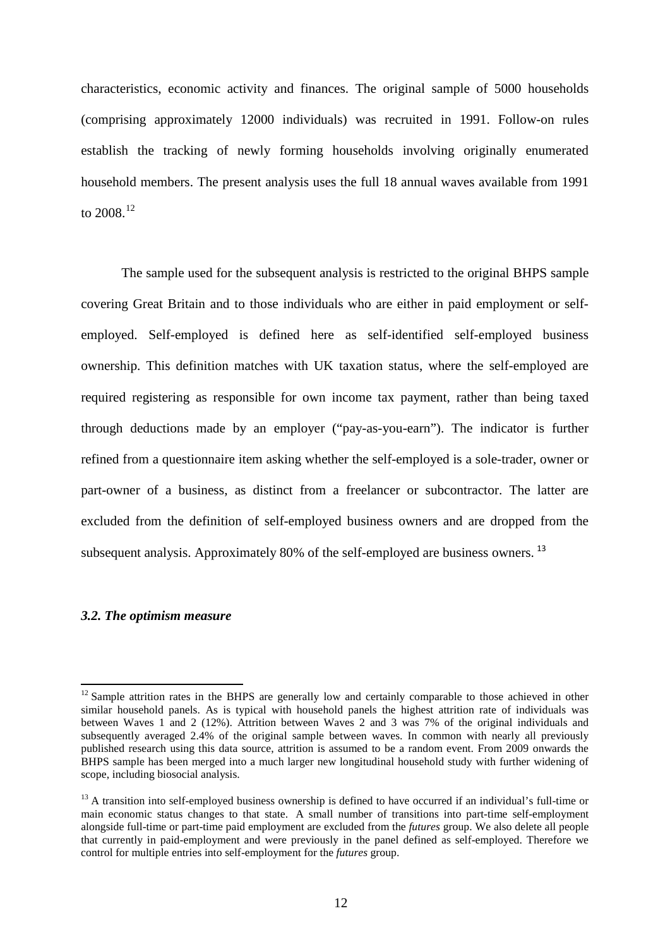characteristics, economic activity and finances. The original sample of 5000 households (comprising approximately 12000 individuals) was recruited in 1991. Follow-on rules establish the tracking of newly forming households involving originally enumerated household members. The present analysis uses the full 18 annual waves available from 1991 to  $2008^{12}$  $2008^{12}$  $2008^{12}$ 

The sample used for the subsequent analysis is restricted to the original BHPS sample covering Great Britain and to those individuals who are either in paid employment or selfemployed. Self-employed is defined here as self-identified self-employed business ownership. This definition matches with UK taxation status, where the self-employed are required registering as responsible for own income tax payment, rather than being taxed through deductions made by an employer ("pay-as-you-earn"). The indicator is further refined from a questionnaire item asking whether the self-employed is a sole-trader, owner or part-owner of a business, as distinct from a freelancer or subcontractor. The latter are excluded from the definition of self-employed business owners and are dropped from the subsequent analysis. Approximately 80% of the self-employed are business owners.<sup>[13](#page-14-0)</sup>

#### *3.2. The optimism measure*

<sup>&</sup>lt;sup>12</sup> Sample attrition rates in the BHPS are generally low and certainly comparable to those achieved in other similar household panels. As is typical with household panels the highest attrition rate of individuals was between Waves 1 and 2 (12%). Attrition between Waves 2 and 3 was 7% of the original individuals and subsequently averaged 2.4% of the original sample between waves. In common with nearly all previously published research using this data source, attrition is assumed to be a random event. From 2009 onwards the BHPS sample has been merged into a much larger new longitudinal household study with further widening of scope, including biosocial analysis.

<span id="page-14-1"></span><span id="page-14-0"></span> $13$  A transition into self-employed business ownership is defined to have occurred if an individual's full-time or main economic status changes to that state. A small number of transitions into part-time self-employment alongside full-time or part-time paid employment are excluded from the *futures* group. We also delete all people that currently in paid-employment and were previously in the panel defined as self-employed. Therefore we control for multiple entries into self-employment for the *futures* group.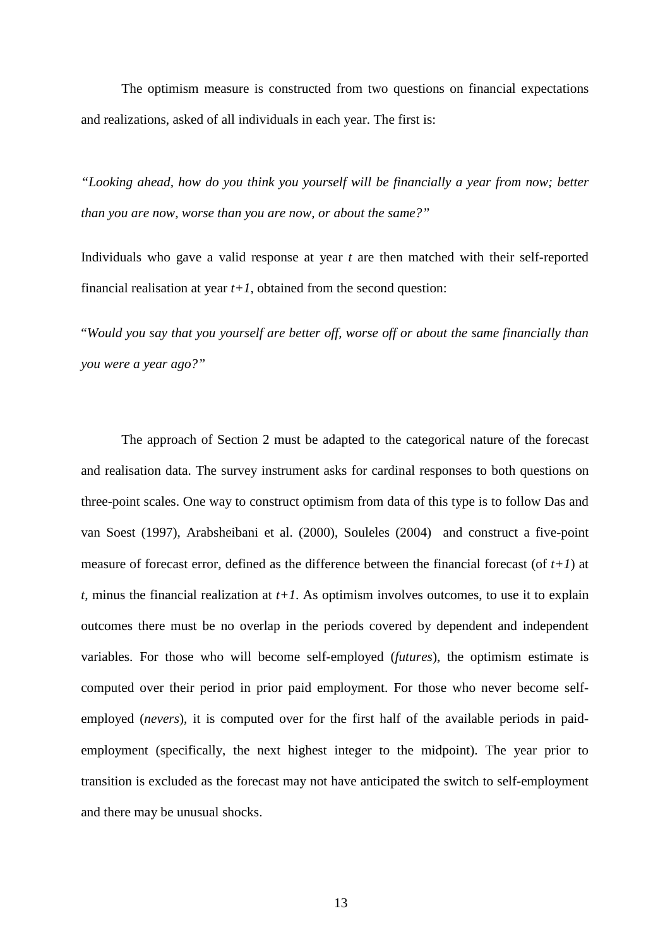The optimism measure is constructed from two questions on financial expectations and realizations, asked of all individuals in each year. The first is:

*"Looking ahead, how do you think you yourself will be financially a year from now; better than you are now, worse than you are now, or about the same?"*

Individuals who gave a valid response at year *t* are then matched with their self-reported financial realisation at year  $t+1$ , obtained from the second question:

"*Would you say that you yourself are better off, worse off or about the same financially than you were a year ago?"*

The approach of Section 2 must be adapted to the categorical nature of the forecast and realisation data. The survey instrument asks for cardinal responses to both questions on three-point scales. One way to construct optimism from data of this type is to follow Das and van Soest (1997), Arabsheibani et al. (2000), Souleles (2004) and construct a five-point measure of forecast error, defined as the difference between the financial forecast (of *t+1*) at *t*, minus the financial realization at  $t+1$ . As optimism involves outcomes, to use it to explain outcomes there must be no overlap in the periods covered by dependent and independent variables. For those who will become self-employed (*futures*), the optimism estimate is computed over their period in prior paid employment. For those who never become selfemployed (*nevers*), it is computed over for the first half of the available periods in paidemployment (specifically, the next highest integer to the midpoint). The year prior to transition is excluded as the forecast may not have anticipated the switch to self-employment and there may be unusual shocks.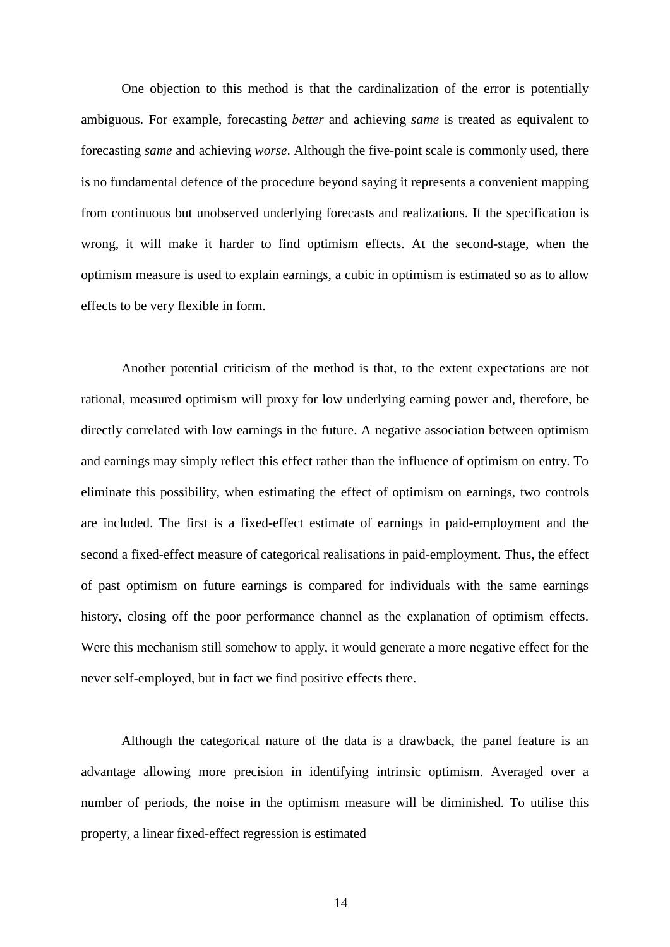One objection to this method is that the cardinalization of the error is potentially ambiguous. For example, forecasting *better* and achieving *same* is treated as equivalent to forecasting *same* and achieving *worse*. Although the five-point scale is commonly used, there is no fundamental defence of the procedure beyond saying it represents a convenient mapping from continuous but unobserved underlying forecasts and realizations. If the specification is wrong, it will make it harder to find optimism effects. At the second-stage, when the optimism measure is used to explain earnings, a cubic in optimism is estimated so as to allow effects to be very flexible in form.

Another potential criticism of the method is that, to the extent expectations are not rational, measured optimism will proxy for low underlying earning power and, therefore, be directly correlated with low earnings in the future. A negative association between optimism and earnings may simply reflect this effect rather than the influence of optimism on entry. To eliminate this possibility, when estimating the effect of optimism on earnings, two controls are included. The first is a fixed-effect estimate of earnings in paid-employment and the second a fixed-effect measure of categorical realisations in paid-employment. Thus, the effect of past optimism on future earnings is compared for individuals with the same earnings history, closing off the poor performance channel as the explanation of optimism effects. Were this mechanism still somehow to apply, it would generate a more negative effect for the never self-employed, but in fact we find positive effects there.

Although the categorical nature of the data is a drawback, the panel feature is an advantage allowing more precision in identifying intrinsic optimism. Averaged over a number of periods, the noise in the optimism measure will be diminished. To utilise this property, a linear fixed-effect regression is estimated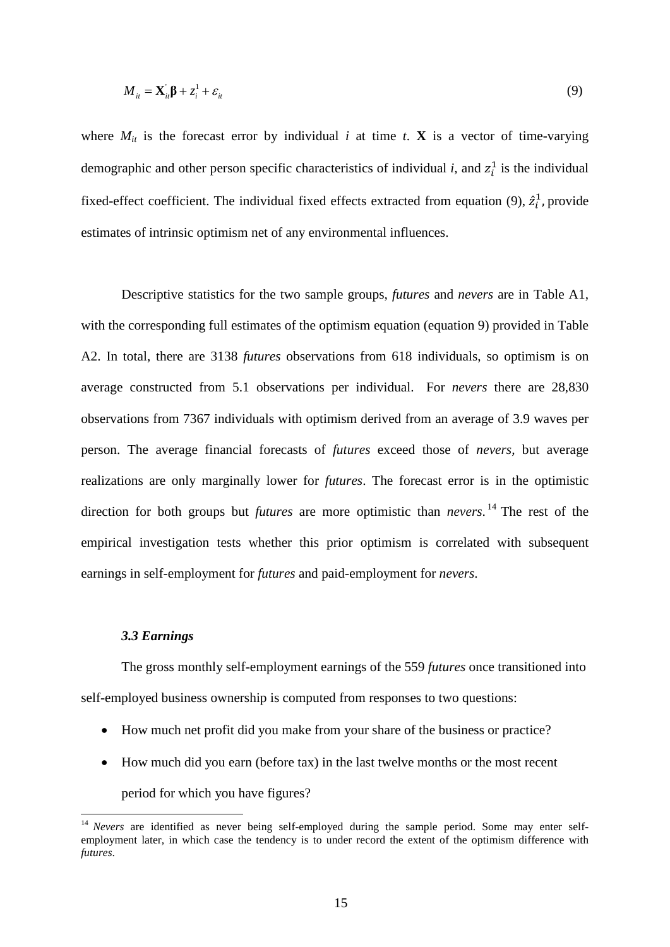$$
M_{it} = \mathbf{X}_{it}^{\dagger} \mathbf{\beta} + z_i^1 + \varepsilon_{it}
$$
 (9)

where  $M_{it}$  is the forecast error by individual *i* at time *t*. **X** is a vector of time-varying demographic and other person specific characteristics of individual *i*, and  $z_i^1$  is the individual fixed-effect coefficient. The individual fixed effects extracted from equation (9),  $\hat{z}_i^1$ , provide estimates of intrinsic optimism net of any environmental influences.

Descriptive statistics for the two sample groups, *futures* and *nevers* are in Table A1, with the corresponding full estimates of the optimism equation (equation 9) provided in Table A2. In total, there are 3138 *futures* observations from 618 individuals, so optimism is on average constructed from 5.1 observations per individual. For *nevers* there are 28,830 observations from 7367 individuals with optimism derived from an average of 3.9 waves per person. The average financial forecasts of *futures* exceed those of *nevers,* but average realizations are only marginally lower for *futures*. The forecast error is in the optimistic direction for both groups but *futures* are more optimistic than *nevers*. [14](#page-14-1) The rest of the empirical investigation tests whether this prior optimism is correlated with subsequent earnings in self-employment for *futures* and paid-employment for *nevers*.

#### *3.3 Earnings*

The gross monthly self-employment earnings of the 559 *futures* once transitioned into self-employed business ownership is computed from responses to two questions:

- How much net profit did you make from your share of the business or practice?
- How much did you earn (before tax) in the last twelve months or the most recent

period for which you have figures?

<span id="page-17-0"></span><sup>14</sup> *Nevers* are identified as never being self-employed during the sample period. Some may enter selfemployment later, in which case the tendency is to under record the extent of the optimism difference with *futures*.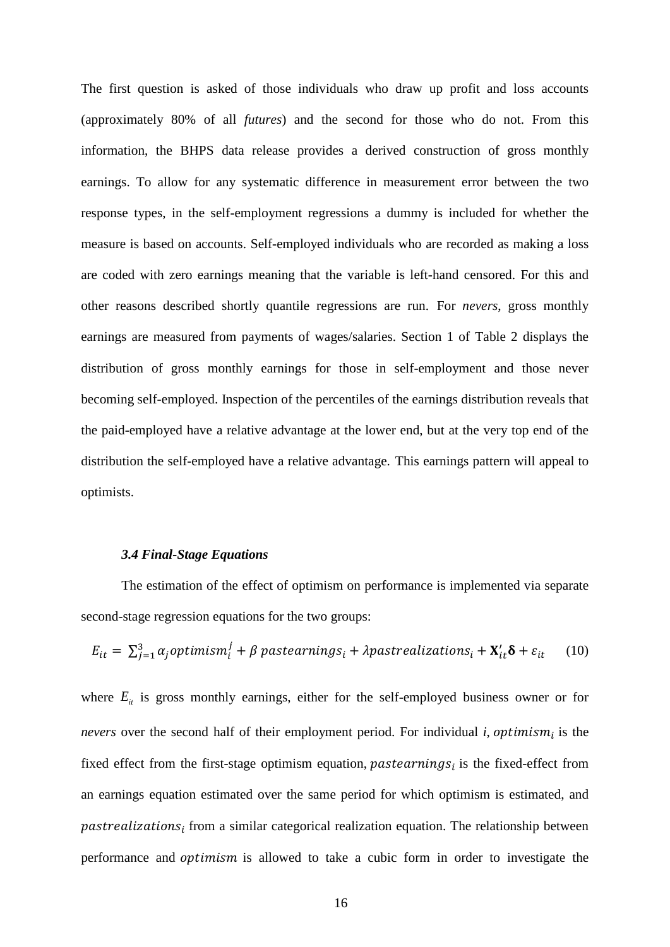The first question is asked of those individuals who draw up profit and loss accounts (approximately 80% of all *futures*) and the second for those who do not. From this information, the BHPS data release provides a derived construction of gross monthly earnings. To allow for any systematic difference in measurement error between the two response types, in the self-employment regressions a dummy is included for whether the measure is based on accounts. Self-employed individuals who are recorded as making a loss are coded with zero earnings meaning that the variable is left-hand censored. For this and other reasons described shortly quantile regressions are run. For *nevers*, gross monthly earnings are measured from payments of wages/salaries. Section 1 of Table 2 displays the distribution of gross monthly earnings for those in self-employment and those never becoming self-employed. Inspection of the percentiles of the earnings distribution reveals that the paid-employed have a relative advantage at the lower end, but at the very top end of the distribution the self-employed have a relative advantage. This earnings pattern will appeal to optimists.

#### *3.4 Final-Stage Equations*

The estimation of the effect of optimism on performance is implemented via separate second-stage regression equations for the two groups:

$$
E_{it} = \sum_{j=1}^{3} \alpha_j \text{optimism}_i^j + \beta \text{ pastearnings}_i + \lambda \text{pastrealizations}_i + \mathbf{X}_{it}^{\prime} \delta + \varepsilon_{it} \tag{10}
$$

where  $E_{it}$  is gross monthly earnings, either for the self-employed business owner or for *nevers* over the second half of their employment period. For individual *i*, *optimism<sub>i</sub>* is the fixed effect from the first-stage optimism equation, pastearnings $_i$  is the fixed-effect from an earnings equation estimated over the same period for which optimism is estimated, and  $past realizations<sub>i</sub>$  from a similar categorical realization equation. The relationship between performance and *optimism* is allowed to take a cubic form in order to investigate the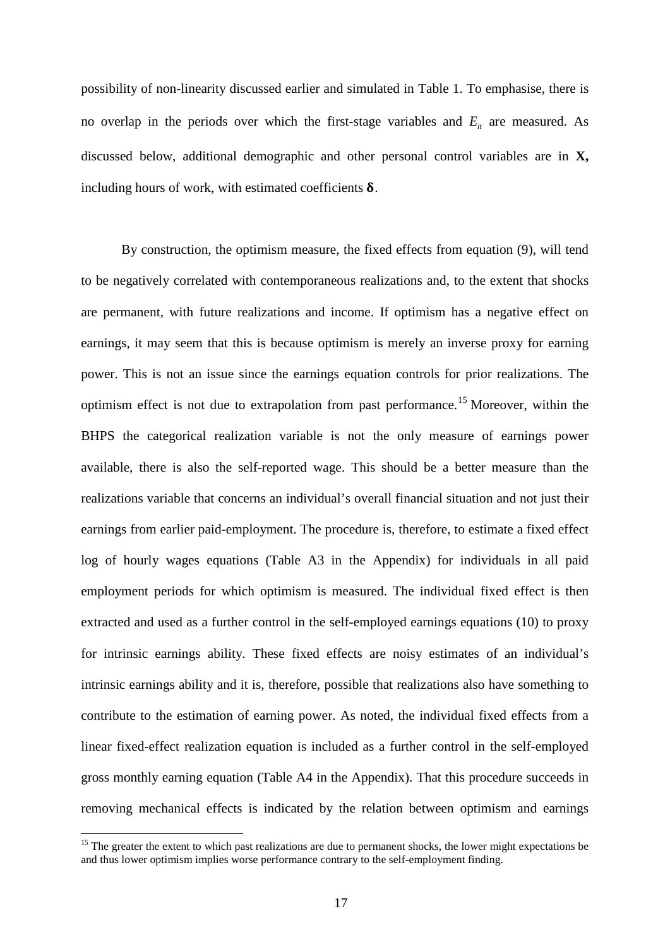possibility of non-linearity discussed earlier and simulated in Table 1. To emphasise, there is no overlap in the periods over which the first-stage variables and  $E_i$  are measured. As discussed below, additional demographic and other personal control variables are in **X,** including hours of work, with estimated coefficients  $\delta$ .

By construction, the optimism measure, the fixed effects from equation (9), will tend to be negatively correlated with contemporaneous realizations and, to the extent that shocks are permanent, with future realizations and income. If optimism has a negative effect on earnings, it may seem that this is because optimism is merely an inverse proxy for earning power. This is not an issue since the earnings equation controls for prior realizations. The optimism effect is not due to extrapolation from past performance.[15](#page-17-0) Moreover, within the BHPS the categorical realization variable is not the only measure of earnings power available, there is also the self-reported wage. This should be a better measure than the realizations variable that concerns an individual's overall financial situation and not just their earnings from earlier paid-employment. The procedure is, therefore, to estimate a fixed effect log of hourly wages equations (Table A3 in the Appendix) for individuals in all paid employment periods for which optimism is measured. The individual fixed effect is then extracted and used as a further control in the self-employed earnings equations (10) to proxy for intrinsic earnings ability. These fixed effects are noisy estimates of an individual's intrinsic earnings ability and it is, therefore, possible that realizations also have something to contribute to the estimation of earning power. As noted, the individual fixed effects from a linear fixed-effect realization equation is included as a further control in the self-employed gross monthly earning equation (Table A4 in the Appendix). That this procedure succeeds in removing mechanical effects is indicated by the relation between optimism and earnings

<span id="page-19-0"></span><sup>&</sup>lt;sup>15</sup> The greater the extent to which past realizations are due to permanent shocks, the lower might expectations be and thus lower optimism implies worse performance contrary to the self-employment finding.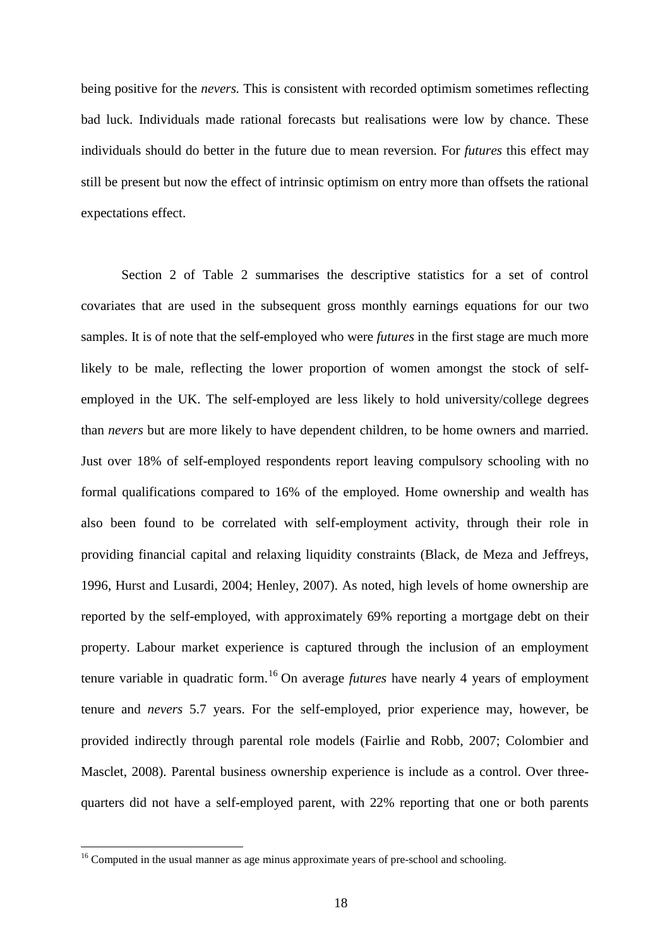being positive for the *nevers.* This is consistent with recorded optimism sometimes reflecting bad luck. Individuals made rational forecasts but realisations were low by chance. These individuals should do better in the future due to mean reversion. For *futures* this effect may still be present but now the effect of intrinsic optimism on entry more than offsets the rational expectations effect.

Section 2 of Table 2 summarises the descriptive statistics for a set of control covariates that are used in the subsequent gross monthly earnings equations for our two samples. It is of note that the self-employed who were *futures* in the first stage are much more likely to be male, reflecting the lower proportion of women amongst the stock of selfemployed in the UK. The self-employed are less likely to hold university/college degrees than *nevers* but are more likely to have dependent children, to be home owners and married. Just over 18% of self-employed respondents report leaving compulsory schooling with no formal qualifications compared to 16% of the employed. Home ownership and wealth has also been found to be correlated with self-employment activity, through their role in providing financial capital and relaxing liquidity constraints (Black, de Meza and Jeffreys, 1996, Hurst and Lusardi, 2004; Henley, 2007). As noted, high levels of home ownership are reported by the self-employed, with approximately 69% reporting a mortgage debt on their property. Labour market experience is captured through the inclusion of an employment tenure variable in quadratic form.<sup>[16](#page-19-0)</sup> On average *futures* have nearly 4 years of employment tenure and *nevers* 5.7 years. For the self-employed, prior experience may, however, be provided indirectly through parental role models (Fairlie and Robb, 2007; Colombier and Masclet, 2008). Parental business ownership experience is include as a control. Over threequarters did not have a self-employed parent, with 22% reporting that one or both parents

<span id="page-20-0"></span><sup>&</sup>lt;sup>16</sup> Computed in the usual manner as age minus approximate years of pre-school and schooling.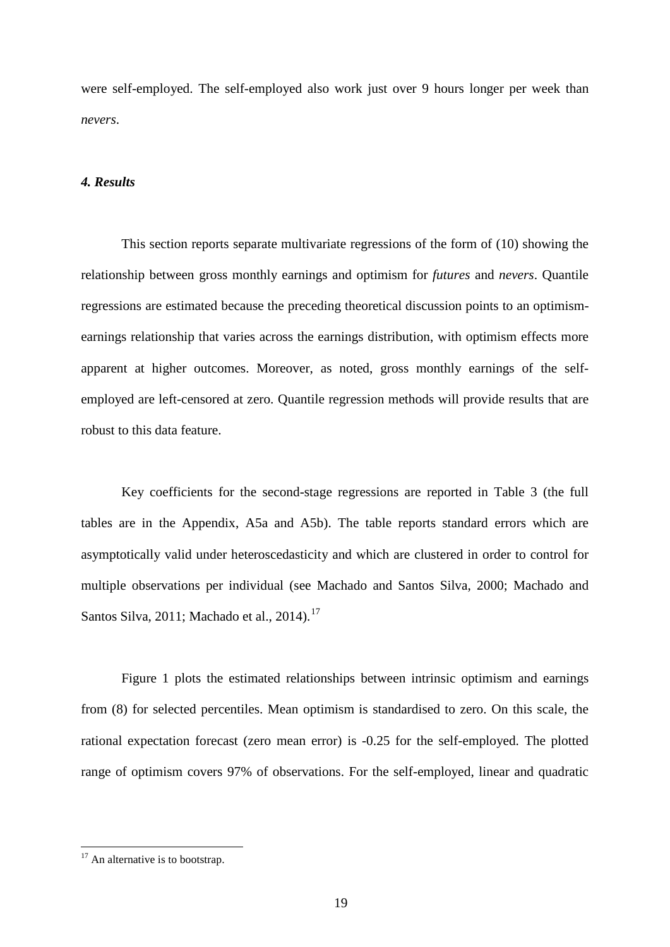were self-employed. The self-employed also work just over 9 hours longer per week than *nevers*.

#### *4. Results*

This section reports separate multivariate regressions of the form of (10) showing the relationship between gross monthly earnings and optimism for *futures* and *nevers*. Quantile regressions are estimated because the preceding theoretical discussion points to an optimismearnings relationship that varies across the earnings distribution, with optimism effects more apparent at higher outcomes. Moreover, as noted, gross monthly earnings of the selfemployed are left-censored at zero. Quantile regression methods will provide results that are robust to this data feature.

Key coefficients for the second-stage regressions are reported in Table 3 (the full tables are in the Appendix, A5a and A5b). The table reports standard errors which are asymptotically valid under heteroscedasticity and which are clustered in order to control for multiple observations per individual (see Machado and Santos Silva, 2000; Machado and Santos Silva, 2011; Machado et al., 2014).<sup>[17](#page-20-0)</sup>

Figure 1 plots the estimated relationships between intrinsic optimism and earnings from (8) for selected percentiles. Mean optimism is standardised to zero. On this scale, the rational expectation forecast (zero mean error) is -0.25 for the self-employed. The plotted range of optimism covers 97% of observations. For the self-employed, linear and quadratic

<span id="page-21-0"></span><sup>&</sup>lt;sup>17</sup> An alternative is to bootstrap.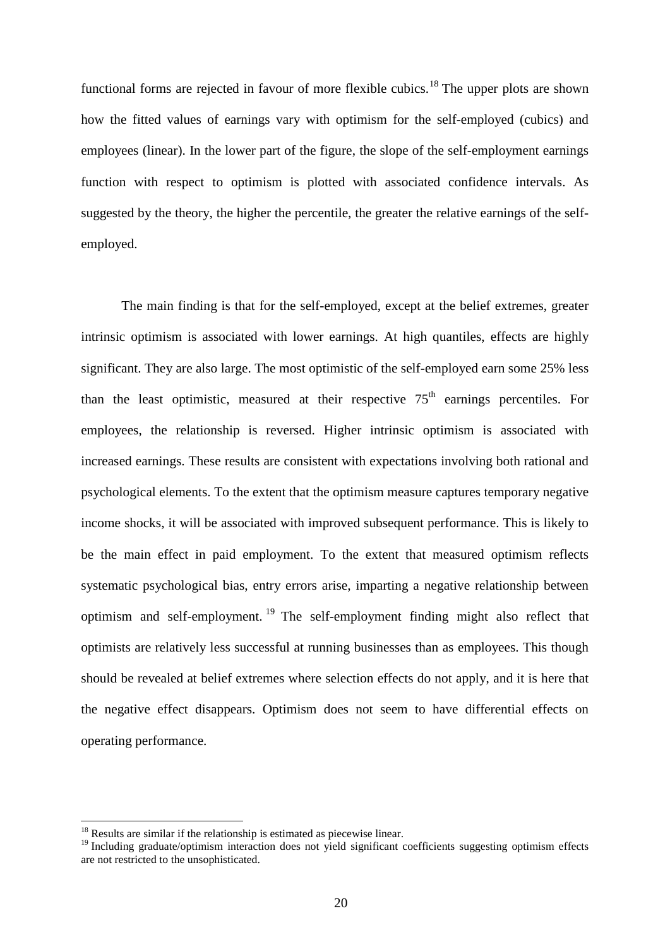functional forms are rejected in favour of more flexible cubics.<sup>[18](#page-21-0)</sup> The upper plots are shown how the fitted values of earnings vary with optimism for the self-employed (cubics) and employees (linear). In the lower part of the figure, the slope of the self-employment earnings function with respect to optimism is plotted with associated confidence intervals. As suggested by the theory, the higher the percentile, the greater the relative earnings of the selfemployed.

The main finding is that for the self-employed, except at the belief extremes, greater intrinsic optimism is associated with lower earnings. At high quantiles, effects are highly significant. They are also large. The most optimistic of the self-employed earn some 25% less than the least optimistic, measured at their respective  $75<sup>th</sup>$  earnings percentiles. For employees, the relationship is reversed. Higher intrinsic optimism is associated with increased earnings. These results are consistent with expectations involving both rational and psychological elements. To the extent that the optimism measure captures temporary negative income shocks, it will be associated with improved subsequent performance. This is likely to be the main effect in paid employment. To the extent that measured optimism reflects systematic psychological bias, entry errors arise, imparting a negative relationship between optimism and self-employment. [19](#page-22-0) The self-employment finding might also reflect that optimists are relatively less successful at running businesses than as employees. This though should be revealed at belief extremes where selection effects do not apply, and it is here that the negative effect disappears. Optimism does not seem to have differential effects on operating performance.

<sup>&</sup>lt;sup>18</sup> Results are similar if the relationship is estimated as piecewise linear.

<span id="page-22-0"></span><sup>&</sup>lt;sup>19</sup> Including graduate/optimism interaction does not yield significant coefficients suggesting optimism effects are not restricted to the unsophisticated.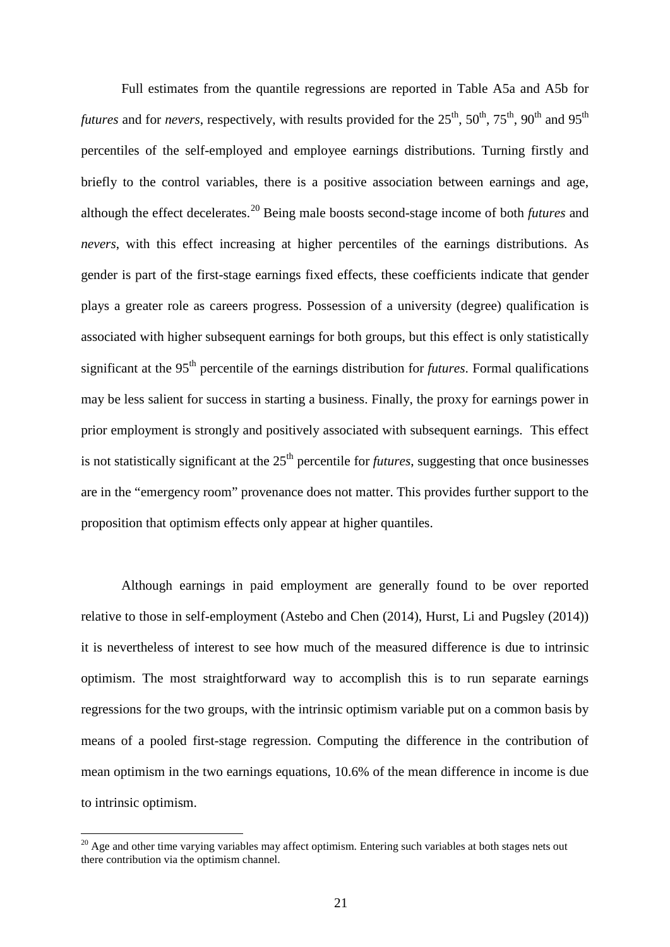Full estimates from the quantile regressions are reported in Table A5a and A5b for *futures* and for *nevers*, respectively, with results provided for the  $25<sup>th</sup>$ ,  $50<sup>th</sup>$ ,  $75<sup>th</sup>$ ,  $90<sup>th</sup>$  and  $95<sup>th</sup>$ percentiles of the self-employed and employee earnings distributions. Turning firstly and briefly to the control variables, there is a positive association between earnings and age, although the effect decelerates.[20](#page-22-0) Being male boosts second-stage income of both *futures* and *nevers*, with this effect increasing at higher percentiles of the earnings distributions. As gender is part of the first-stage earnings fixed effects, these coefficients indicate that gender plays a greater role as careers progress. Possession of a university (degree) qualification is associated with higher subsequent earnings for both groups, but this effect is only statistically significant at the 95th percentile of the earnings distribution for *futures*. Formal qualifications may be less salient for success in starting a business. Finally, the proxy for earnings power in prior employment is strongly and positively associated with subsequent earnings. This effect is not statistically significant at the 25<sup>th</sup> percentile for *futures*, suggesting that once businesses are in the "emergency room" provenance does not matter. This provides further support to the proposition that optimism effects only appear at higher quantiles.

Although earnings in paid employment are generally found to be over reported relative to those in self-employment (Astebo and Chen (2014), Hurst, Li and Pugsley (2014)) it is nevertheless of interest to see how much of the measured difference is due to intrinsic optimism. The most straightforward way to accomplish this is to run separate earnings regressions for the two groups, with the intrinsic optimism variable put on a common basis by means of a pooled first-stage regression. Computing the difference in the contribution of mean optimism in the two earnings equations, 10.6% of the mean difference in income is due to intrinsic optimism.

<span id="page-23-0"></span> $20$  Age and other time varying variables may affect optimism. Entering such variables at both stages nets out there contribution via the optimism channel.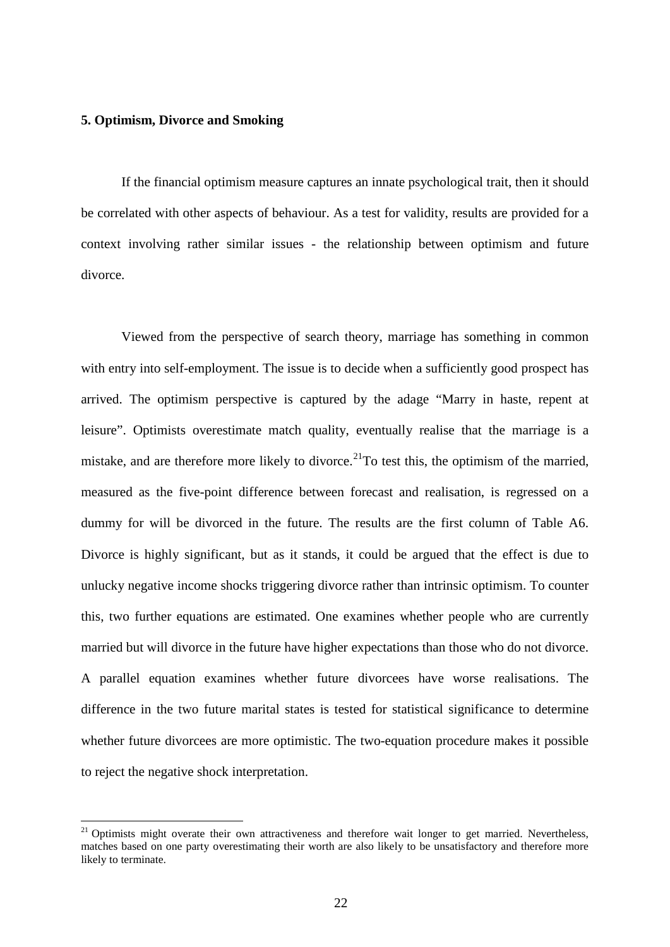#### **5. Optimism, Divorce and Smoking**

If the financial optimism measure captures an innate psychological trait, then it should be correlated with other aspects of behaviour. As a test for validity, results are provided for a context involving rather similar issues - the relationship between optimism and future divorce.

Viewed from the perspective of search theory, marriage has something in common with entry into self-employment. The issue is to decide when a sufficiently good prospect has arrived. The optimism perspective is captured by the adage "Marry in haste, repent at leisure". Optimists overestimate match quality, eventually realise that the marriage is a mistake, and are therefore more likely to divorce.<sup>[21](#page-23-0)</sup>To test this, the optimism of the married, measured as the five-point difference between forecast and realisation, is regressed on a dummy for will be divorced in the future. The results are the first column of Table A6. Divorce is highly significant, but as it stands, it could be argued that the effect is due to unlucky negative income shocks triggering divorce rather than intrinsic optimism. To counter this, two further equations are estimated. One examines whether people who are currently married but will divorce in the future have higher expectations than those who do not divorce. A parallel equation examines whether future divorcees have worse realisations. The difference in the two future marital states is tested for statistical significance to determine whether future divorcees are more optimistic. The two-equation procedure makes it possible to reject the negative shock interpretation.

<span id="page-24-0"></span> $21$  Optimists might overate their own attractiveness and therefore wait longer to get married. Nevertheless, matches based on one party overestimating their worth are also likely to be unsatisfactory and therefore more likely to terminate.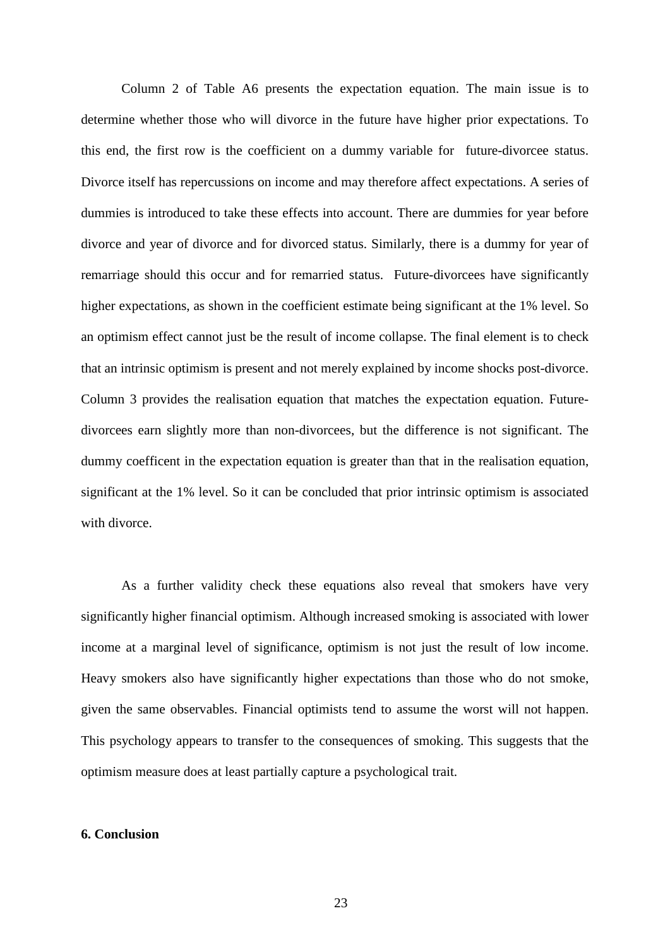Column 2 of Table A6 presents the expectation equation. The main issue is to determine whether those who will divorce in the future have higher prior expectations. To this end, the first row is the coefficient on a dummy variable for future-divorcee status. Divorce itself has repercussions on income and may therefore affect expectations. A series of dummies is introduced to take these effects into account. There are dummies for year before divorce and year of divorce and for divorced status. Similarly, there is a dummy for year of remarriage should this occur and for remarried status. Future-divorcees have significantly higher expectations, as shown in the coefficient estimate being significant at the 1% level. So an optimism effect cannot just be the result of income collapse. The final element is to check that an intrinsic optimism is present and not merely explained by income shocks post-divorce. Column 3 provides the realisation equation that matches the expectation equation. Futuredivorcees earn slightly more than non-divorcees, but the difference is not significant. The dummy coefficent in the expectation equation is greater than that in the realisation equation, significant at the 1% level. So it can be concluded that prior intrinsic optimism is associated with divorce.

As a further validity check these equations also reveal that smokers have very significantly higher financial optimism. Although increased smoking is associated with lower income at a marginal level of significance, optimism is not just the result of low income. Heavy smokers also have significantly higher expectations than those who do not smoke, given the same observables. Financial optimists tend to assume the worst will not happen. This psychology appears to transfer to the consequences of smoking. This suggests that the optimism measure does at least partially capture a psychological trait.

#### **6. Conclusion**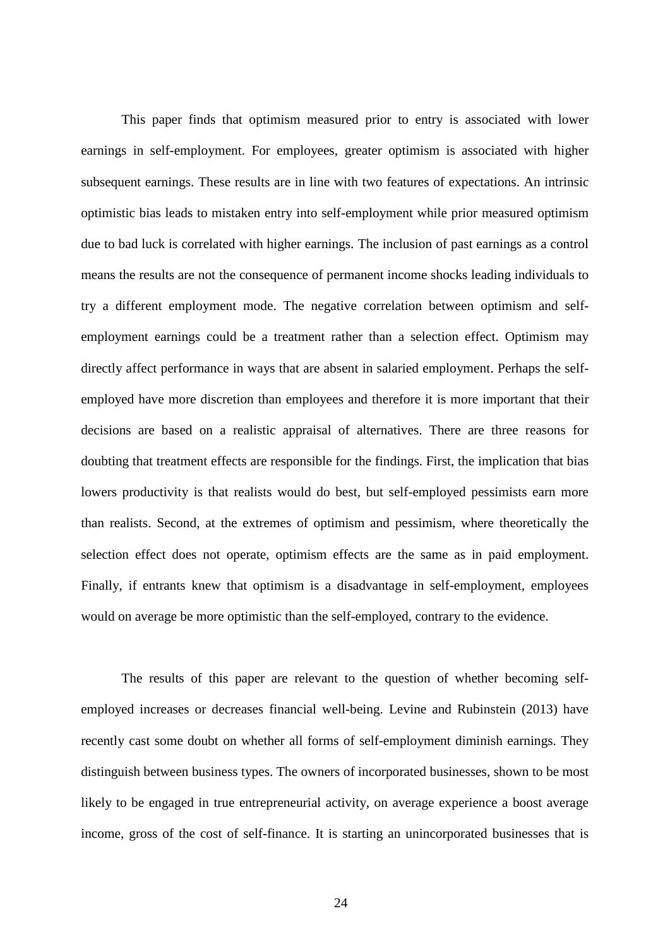This paper finds that optimism measured prior to entry is associated with lower earnings in self-employment. For employees, greater optimism is associated with higher subsequent earnings. These results are in line with two features of expectations. An intrinsic optimistic bias leads to mistaken entry into self-employment while prior measured optimism due to bad luck is correlated with higher earnings. The inclusion of past earnings as a control means the results are not the consequence of permanent income shocks leading individuals to try a different employment mode. The negative correlation between optimism and selfemployment earnings could be a treatment rather than a selection effect. Optimism may directly affect performance in ways that are absent in salaried employment. Perhaps the selfemployed have more discretion than employees and therefore it is more important that their decisions are based on a realistic appraisal of alternatives. There are three reasons for doubting that treatment effects are responsible for the findings. First, the implication that bias lowers productivity is that realists would do best, but self-employed pessimists earn more than realists. Second, at the extremes of optimism and pessimism, where theoretically the selection effect does not operate, optimism effects are the same as in paid employment. Finally, if entrants knew that optimism is a disadvantage in self-employment, employees would on average be more optimistic than the self-employed, contrary to the evidence.

The results of this paper are relevant to the question of whether becoming selfemployed increases or decreases financial well-being. Levine and Rubinstein (2013) have recently cast some doubt on whether all forms of self-employment diminish earnings. They distinguish between business types. The owners of incorporated businesses, shown to be most likely to be engaged in true entrepreneurial activity, on average experience a boost average income, gross of the cost of self-finance. It is starting an unincorporated businesses that is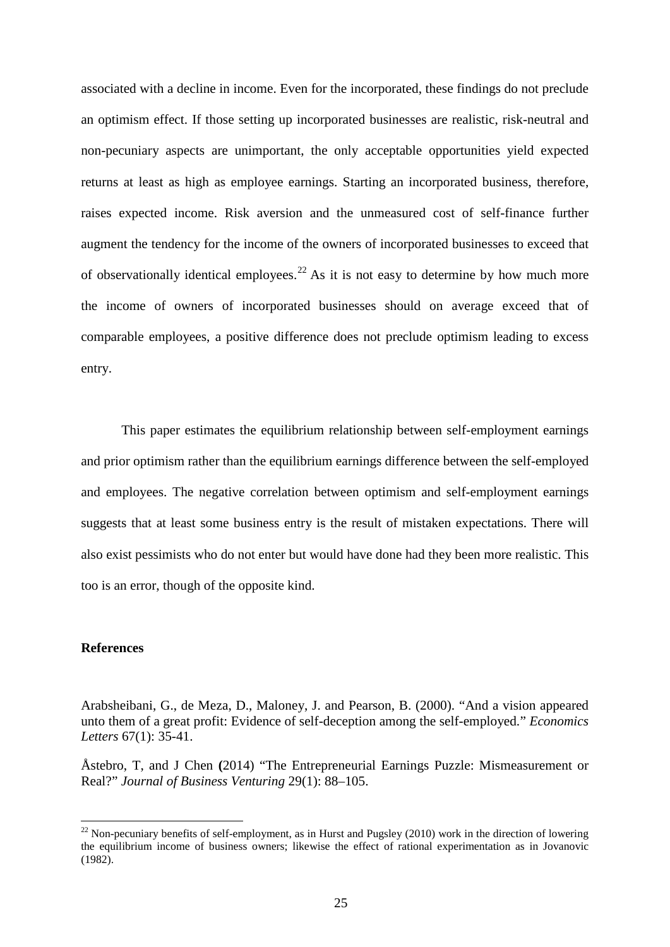associated with a decline in income. Even for the incorporated, these findings do not preclude an optimism effect. If those setting up incorporated businesses are realistic, risk-neutral and non-pecuniary aspects are unimportant, the only acceptable opportunities yield expected returns at least as high as employee earnings. Starting an incorporated business, therefore, raises expected income. Risk aversion and the unmeasured cost of self-finance further augment the tendency for the income of the owners of incorporated businesses to exceed that of observationally identical employees.<sup>[22](#page-24-0)</sup> As it is not easy to determine by how much more the income of owners of incorporated businesses should on average exceed that of comparable employees, a positive difference does not preclude optimism leading to excess entry.

This paper estimates the equilibrium relationship between self-employment earnings and prior optimism rather than the equilibrium earnings difference between the self-employed and employees. The negative correlation between optimism and self-employment earnings suggests that at least some business entry is the result of mistaken expectations. There will also exist pessimists who do not enter but would have done had they been more realistic. This too is an error, though of the opposite kind.

#### **References**

Arabsheibani, G., de Meza, D., Maloney, J. and Pearson, B. (2000). "And a vision appeared unto them of a great profit: Evidence of self-deception among the self-employed." *Economics Letters* 67(1): 35-41.

Åstebro, T, and J Chen **(**2014) "The Entrepreneurial Earnings Puzzle: Mismeasurement or Real?" *Journal of Business Venturing* 29(1): 88–105.

 $^{22}$  Non-pecuniary benefits of self-employment, as in Hurst and Pugsley (2010) work in the direction of lowering the equilibrium income of business owners; likewise the effect of rational experimentation as in Jovanovic (1982).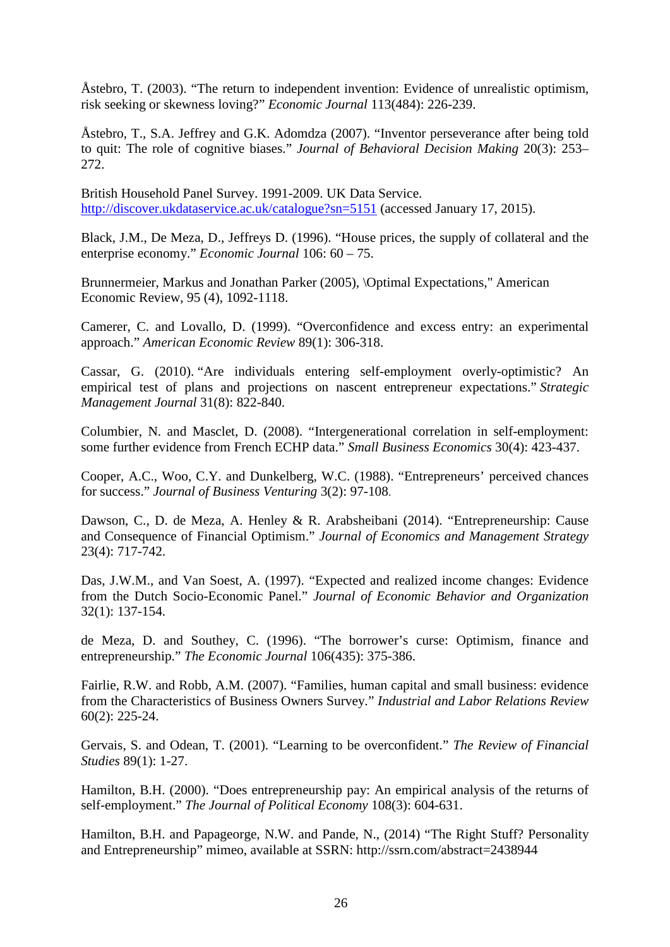Åstebro, T. (2003). "The return to independent invention: Evidence of unrealistic optimism, risk seeking or skewness loving?" *Economic Journal* 113(484): 226-239.

Åstebro, T., S.A. Jeffrey and G.K. Adomdza (2007). "Inventor perseverance after being told to quit: The role of cognitive biases." *Journal of Behavioral Decision Making* 20(3): 253– 272.

[British Household Panel Survey.](http://discover.ukdataservice.ac.uk/series/?sn=200005) 1991-2009. UK Data Service. <http://discover.ukdataservice.ac.uk/catalogue?sn=5151> (accessed January 17, 2015).

Black, J.M., De Meza, D., Jeffreys D. (1996). "House prices, the supply of collateral and the enterprise economy." *Economic Journal* 106: 60 – 75.

Brunnermeier, Markus and Jonathan Parker (2005), \Optimal Expectations," American Economic Review, 95 (4), 1092-1118.

Camerer, C. and Lovallo, D. (1999). "Overconfidence and excess entry: an experimental approach." *American Economic Review* 89(1): 306-318.

Cassar, G. (2010). ["Are individuals entering self-employment overly-optimistic? An](http://dx.doi.org/10.1002/smj.833)  [empirical test of plans and projections on nascent entrepreneur expectations.](http://dx.doi.org/10.1002/smj.833)" *Strategic Management Journal* 31(8): 822-840.

Columbier, N. and Masclet, D. (2008). "Intergenerational correlation in self-employment: some further evidence from French ECHP data." *Small Business Economics* 30(4): 423-437.

Cooper, A.C., Woo, C.Y. and Dunkelberg, W.C. (1988). "Entrepreneurs' perceived chances for success." *Journal of Business Venturing* 3(2): 97-108.

Dawson, C., D. de Meza, A. Henley & R. Arabsheibani (2014). "Entrepreneurship: Cause and Consequence of Financial Optimism." *Journal of Economics and Management Strategy* 23(4): 717-742.

Das, J.W.M., and Van Soest, A. (1997). "Expected and realized income changes: Evidence from the Dutch Socio-Economic Panel." *Journal of Economic Behavior and Organization* 32(1): 137-154.

de Meza, D. and Southey, C. (1996). "The borrower's curse: Optimism, finance and entrepreneurship." *The Economic Journal* 106(435): 375-386.

Fairlie, R.W. and Robb, A.M. (2007). "Families, human capital and small business: evidence from the Characteristics of Business Owners Survey." *Industrial and Labor Relations Review* 60(2): 225-24.

Gervais, S. and Odean, T. (2001). "Learning to be overconfident." *The Review of Financial Studies* 89(1): 1-27.

Hamilton, B.H. (2000). "Does entrepreneurship pay: An empirical analysis of the returns of self-employment." *The Journal of Political Economy* 108(3): 604-631.

Hamilton, B.H. and Papageorge, N.W. and Pande, N., (2014) "The Right Stuff? Personality and Entrepreneurship" mimeo, available at SSRN: http://ssrn.com/abstract=2438944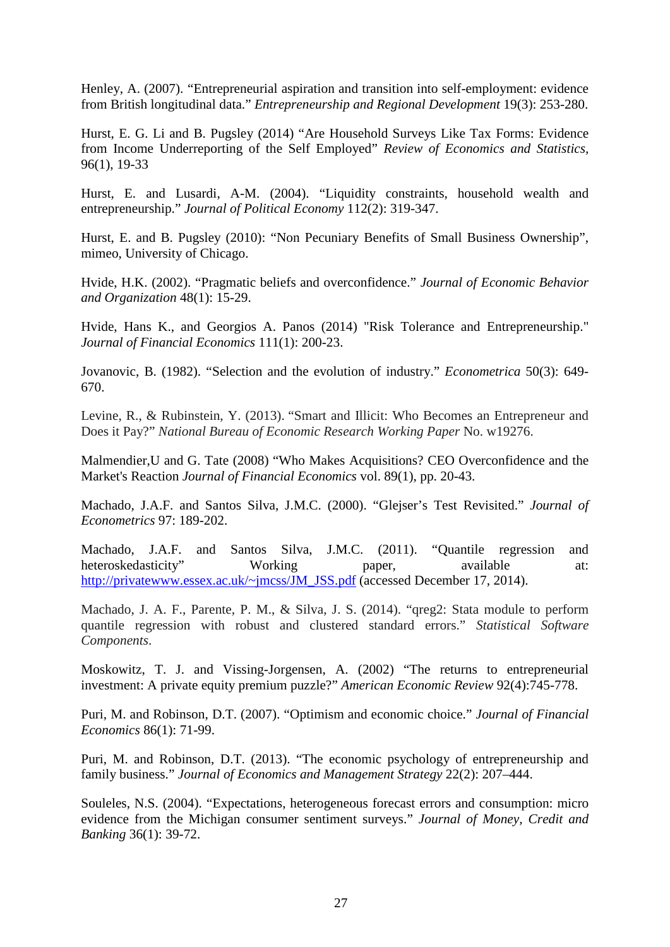Henley, A. (2007). "Entrepreneurial aspiration and transition into self-employment: evidence from British longitudinal data." *Entrepreneurship and Regional Development* 19(3): 253-280.

Hurst, E. G. Li and B. Pugsley (2014) "Are Household Surveys Like Tax Forms: Evidence from Income Underreporting of the Self Employed" *Review of Economics and Statistics,* 96(1), 19-33

Hurst, E. and Lusardi, A-M. (2004). "Liquidity constraints, household wealth and entrepreneurship." *Journal of Political Economy* 112(2): 319-347.

Hurst, E. and B. Pugsley (2010): "Non Pecuniary Benefits of Small Business Ownership", mimeo, University of Chicago.

Hvide, H.K. (2002). "Pragmatic beliefs and overconfidence." *Journal of Economic Behavior and Organization* 48(1): 15-29.

Hvide, Hans K., and Georgios A. Panos (2014) "Risk Tolerance and Entrepreneurship." *Journal of Financial Economics* 111(1): 200-23.

Jovanovic, B. (1982). "Selection and the evolution of industry." *Econometrica* 50(3): 649- 670.

Levine, R., & Rubinstein, Y. (2013). "Smart and Illicit: Who Becomes an Entrepreneur and Does it Pay?" *National Bureau of Economic Research Working Paper* No. w19276.

Malmendier,U and G. Tate (2008) "Who Makes Acquisitions? CEO Overconfidence and the Market's Reaction *Journal of Financial Economics* vol. 89(1), pp. 20-43.

Machado, J.A.F. and Santos Silva, J.M.C. (2000). "Glejser's Test Revisited." *Journal of Econometrics* 97: 189-202.

Machado, J.A.F. and Santos Silva, J.M.C. (2011). "Quantile regression and heteroskedasticity" Working paper, available at: [http://privatewww.essex.ac.uk/~jmcss/JM\\_JSS.pdf](http://privatewww.essex.ac.uk/~jmcss/JM_JSS.pdf) (accessed December 17, 2014).

Machado, J. A. F., Parente, P. M., & Silva, J. S. (2014). "qreg2: Stata module to perform quantile regression with robust and clustered standard errors." *Statistical Software Components*.

Moskowitz, T. J. and Vissing-Jorgensen, A. (2002) "The returns to entrepreneurial investment: A private equity premium puzzle?" *American Economic Review* 92(4):745-778.

Puri, M. and Robinson, D.T. (2007). "Optimism and economic choice." *Journal of Financial Economics* 86(1): 71-99.

Puri, M. and Robinson, D.T. (2013). "The economic psychology of entrepreneurship and family business." *Journal of Economics and Management Strategy* 22(2): 207–444.

Souleles, N.S. (2004). "Expectations, heterogeneous forecast errors and consumption: micro evidence from the Michigan consumer sentiment surveys." *Journal of Money, Credit and Banking* 36(1): 39-72.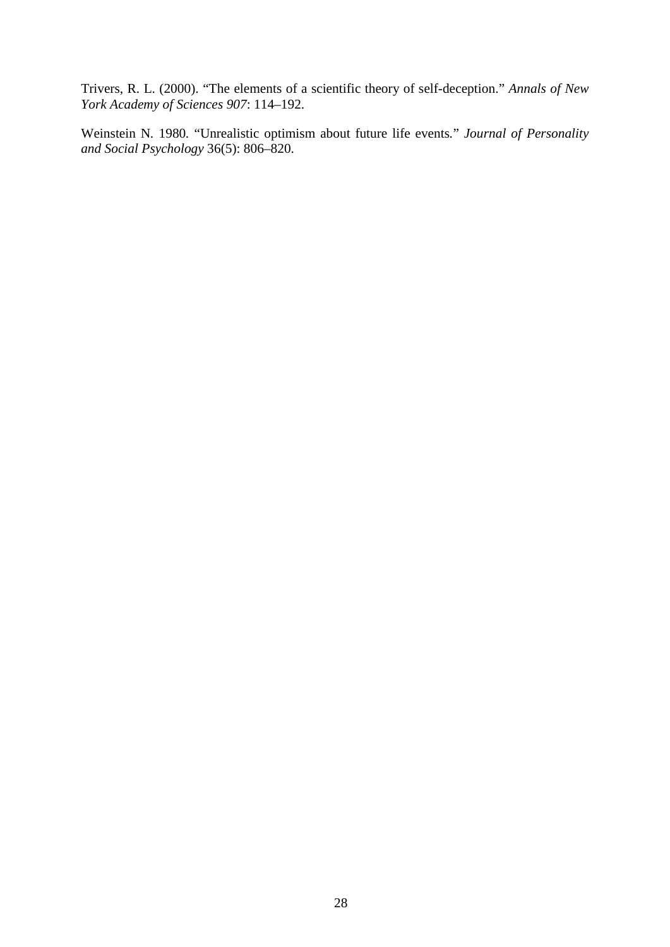Trivers, R. L. (2000). "The elements of a scientific theory of self-deception." *Annals of New York Academy of Sciences 907*: 114–192.

Weinstein N*.* 1980*.* "Unrealistic optimism about future life events*.*" *Journal of Personality and Social Psychology* 36(5): 806*–*820.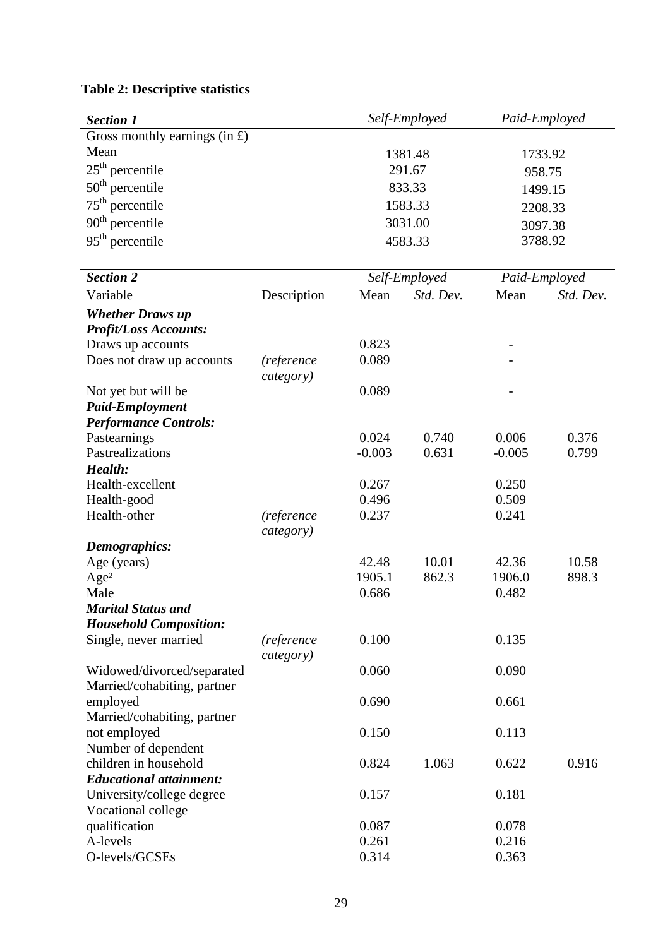| <b>Section 1</b>                                          |                         |          | Self-Employed |          | Paid-Employed |
|-----------------------------------------------------------|-------------------------|----------|---------------|----------|---------------|
| Gross monthly earnings $(in f)$                           |                         |          |               |          |               |
| Mean                                                      |                         |          | 1381.48       |          | 1733.92       |
| $25th$ percentile                                         |                         |          | 291.67        |          |               |
|                                                           |                         |          |               |          | 958.75        |
| $50th$ percentile                                         |                         |          | 833.33        |          | 1499.15       |
| $75th$ percentile                                         |                         |          | 1583.33       |          | 2208.33       |
| $90th$ percentile                                         |                         |          | 3031.00       |          | 3097.38       |
| $95th$ percentile                                         |                         |          | 4583.33       |          | 3788.92       |
| <b>Section 2</b>                                          |                         |          | Self-Employed |          | Paid-Employed |
| Variable                                                  | Description             | Mean     | Std. Dev.     | Mean     | Std. Dev.     |
| <b>Whether Draws up</b>                                   |                         |          |               |          |               |
| <b>Profit/Loss Accounts:</b>                              |                         |          |               |          |               |
| Draws up accounts                                         |                         | 0.823    |               |          |               |
| Does not draw up accounts                                 | (reference              | 0.089    |               |          |               |
|                                                           | category)               |          |               |          |               |
| Not yet but will be                                       |                         | 0.089    |               |          |               |
| <b>Paid-Employment</b>                                    |                         |          |               |          |               |
| <b>Performance Controls:</b>                              |                         |          |               |          |               |
| Pastearnings                                              |                         | 0.024    | 0.740         | 0.006    | 0.376         |
| Pastrealizations                                          |                         | $-0.003$ | 0.631         | $-0.005$ | 0.799         |
| Health:                                                   |                         |          |               |          |               |
| Health-excellent                                          |                         | 0.267    |               | 0.250    |               |
| Health-good                                               |                         | 0.496    |               | 0.509    |               |
| Health-other                                              | (reference              | 0.237    |               | 0.241    |               |
|                                                           | category)               |          |               |          |               |
| <b>Demographics:</b>                                      |                         |          |               |          |               |
| Age (years)                                               |                         | 42.48    | 10.01         | 42.36    | 10.58         |
| Age <sup>2</sup>                                          |                         | 1905.1   | 862.3         | 1906.0   | 898.3         |
| Male                                                      |                         | 0.686    |               | 0.482    |               |
| Marital Status and                                        |                         |          |               |          |               |
| <b>Household Composition:</b>                             |                         |          |               |          |               |
| Single, never married                                     | (reference<br>category) | 0.100    |               | 0.135    |               |
| Widowed/divorced/separated<br>Married/cohabiting, partner |                         | 0.060    |               | 0.090    |               |
| employed                                                  |                         | 0.690    |               | 0.661    |               |
| Married/cohabiting, partner<br>not employed               |                         | 0.150    |               | 0.113    |               |
| Number of dependent<br>children in household              |                         | 0.824    | 1.063         | 0.622    | 0.916         |
| <b>Educational attainment:</b>                            |                         |          |               |          |               |
| University/college degree                                 |                         | 0.157    |               | 0.181    |               |
| Vocational college                                        |                         |          |               |          |               |
| qualification                                             |                         | 0.087    |               | 0.078    |               |
| A-levels                                                  |                         | 0.261    |               | 0.216    |               |
| O-levels/GCSEs                                            |                         | 0.314    |               | 0.363    |               |

# **Table 2: Descriptive statistics**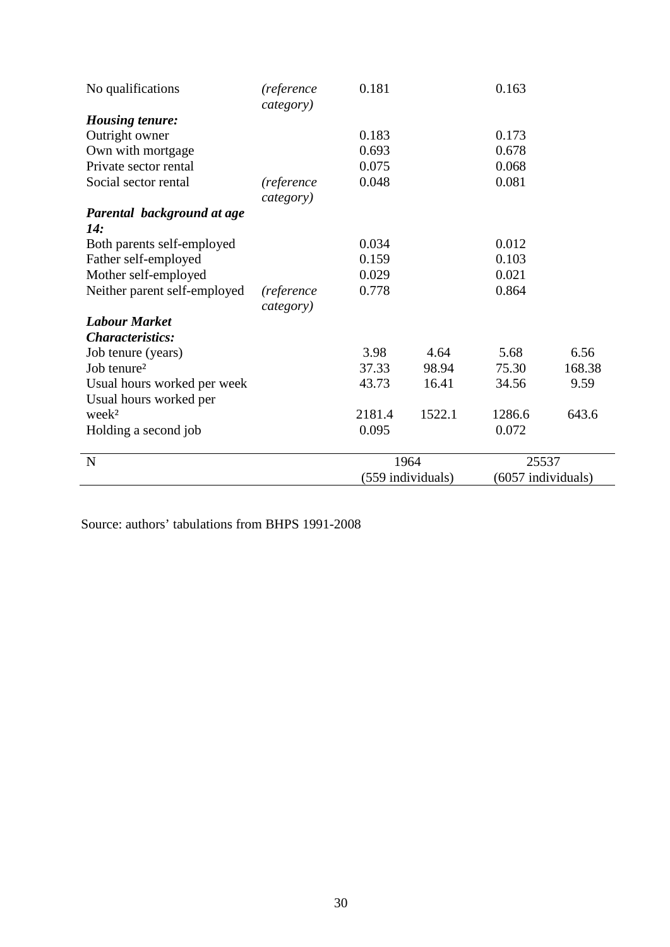| No qualifications            | (reference<br>category) | 0.181  |                   | 0.163              |        |
|------------------------------|-------------------------|--------|-------------------|--------------------|--------|
| <b>Housing tenure:</b>       |                         |        |                   |                    |        |
| Outright owner               |                         | 0.183  |                   | 0.173              |        |
| Own with mortgage            |                         | 0.693  |                   | 0.678              |        |
| Private sector rental        |                         | 0.075  |                   | 0.068              |        |
| Social sector rental         | (reference              | 0.048  |                   | 0.081              |        |
|                              | category)               |        |                   |                    |        |
| Parental background at age   |                         |        |                   |                    |        |
| 14:                          |                         |        |                   |                    |        |
| Both parents self-employed   |                         | 0.034  |                   | 0.012              |        |
| Father self-employed         |                         | 0.159  |                   | 0.103              |        |
| Mother self-employed         |                         | 0.029  |                   | 0.021              |        |
| Neither parent self-employed | <i>(reference</i>       | 0.778  |                   | 0.864              |        |
|                              | category)               |        |                   |                    |        |
| <b>Labour Market</b>         |                         |        |                   |                    |        |
| <b>Characteristics:</b>      |                         |        |                   |                    |        |
| Job tenure (years)           |                         | 3.98   | 4.64              | 5.68               | 6.56   |
| Job tenure <sup>2</sup>      |                         | 37.33  | 98.94             | 75.30              | 168.38 |
| Usual hours worked per week  |                         | 43.73  | 16.41             | 34.56              | 9.59   |
| Usual hours worked per       |                         |        |                   |                    |        |
| week <sup>2</sup>            |                         | 2181.4 | 1522.1            | 1286.6             | 643.6  |
| Holding a second job         |                         | 0.095  |                   | 0.072              |        |
| $\mathbf N$                  |                         |        | 1964              | 25537              |        |
|                              |                         |        | (559 individuals) | (6057 individuals) |        |

Source: authors' tabulations from BHPS 1991-2008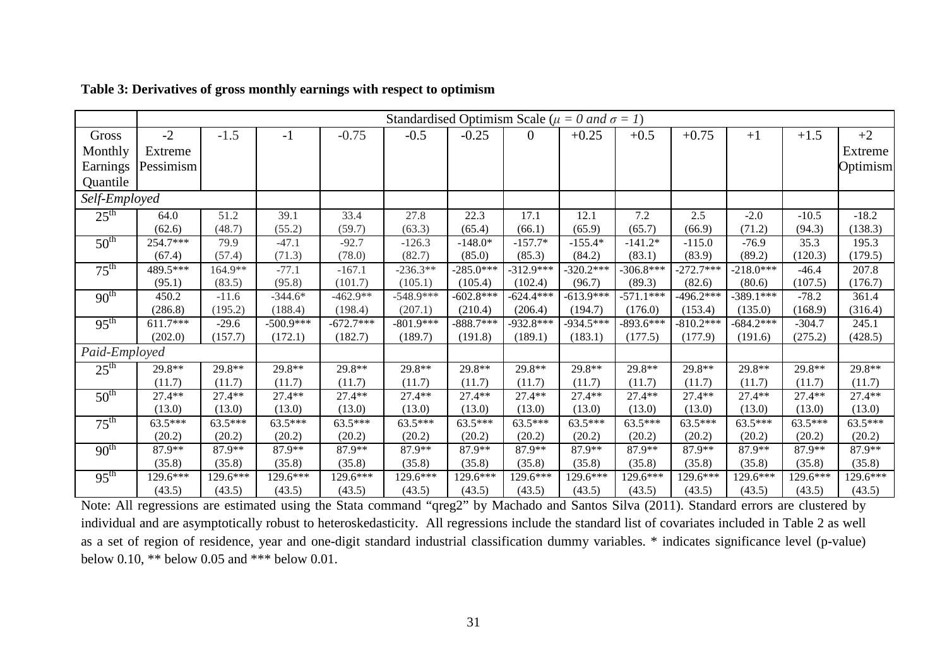|                  |            |           |             |             | Standardised Optimism Scale ( $\mu = 0$ and $\sigma = 1$ ) |             |                |             |             |             |             |           |           |
|------------------|------------|-----------|-------------|-------------|------------------------------------------------------------|-------------|----------------|-------------|-------------|-------------|-------------|-----------|-----------|
| Gross            | $-2$       | $-1.5$    | $-1$        | $-0.75$     | $-0.5$                                                     | $-0.25$     | $\overline{0}$ | $+0.25$     | $+0.5$      | $+0.75$     | $+1$        | $+1.5$    | $+2$      |
| Monthly          | Extreme    |           |             |             |                                                            |             |                |             |             |             |             |           | Extreme   |
| Earnings         | Pessimism  |           |             |             |                                                            |             |                |             |             |             |             |           | Optimism  |
| Quantile         |            |           |             |             |                                                            |             |                |             |             |             |             |           |           |
| Self-Employed    |            |           |             |             |                                                            |             |                |             |             |             |             |           |           |
| $25^{\text{th}}$ | 64.0       | 51.2      | 39.1        | 33.4        | 27.8                                                       | 22.3        | 17.1           | 12.1        | 7.2         | 2.5         | $-2.0$      | $-10.5$   | $-18.2$   |
|                  | (62.6)     | (48.7)    | (55.2)      | (59.7)      | (63.3)                                                     | (65.4)      | (66.1)         | (65.9)      | (65.7)      | (66.9)      | (71.2)      | (94.3)    | (138.3)   |
| $50^{\text{th}}$ | 254.7***   | 79.9      | $-47.1$     | $-92.7$     | $-126.3$                                                   | $-148.0*$   | $-157.7*$      | $-155.4*$   | $-141.2*$   | $-115.0$    | $-76.9$     | 35.3      | 195.3     |
|                  | (67.4)     | (57.4)    | (71.3)      | (78.0)      | (82.7)                                                     | (85.0)      | (85.3)         | (84.2)      | (83.1)      | (83.9)      | (89.2)      | (120.3)   | (179.5)   |
| $75^{\text{th}}$ | 489.5***   | $164.9**$ | $-77.1$     | $-167.1$    | $-236.3**$                                                 | $-285.0***$ | $-312.9***$    | $-320.2***$ | $-306.8***$ | $-272.7***$ | $-218.0***$ | $-46.4$   | 207.8     |
|                  | (95.1)     | (83.5)    | (95.8)      | (101.7)     | (105.1)                                                    | (105.4)     | (102.4)        | (96.7)      | (89.3)      | (82.6)      | (80.6)      | (107.5)   | (176.7)   |
| 90 <sup>th</sup> | 450.2      | $-11.6$   | $-344.6*$   | $-462.9**$  | $-548.9***$                                                | $-602.8***$ | $-624.4***$    | $-613.9***$ | $-571.1***$ | $-496.2***$ | $-389.1***$ | $-78.2$   | 361.4     |
|                  | (286.8)    | (195.2)   | (188.4)     | (198.4)     | (207.1)                                                    | (210.4)     | (206.4)        | (194.7)     | (176.0)     | (153.4)     | (135.0)     | (168.9)   | (316.4)   |
| $95^{\text{th}}$ | $611.7***$ | $-29.6$   | $-500.9***$ | $-672.7***$ | $-801.9***$                                                | $-888.7***$ | $-932.8***$    | $-934.5***$ | $-893.6***$ | $-810.2***$ | $-684.2***$ | $-304.7$  | 245.1     |
|                  | (202.0)    | (157.7)   | (172.1)     | (182.7)     | (189.7)                                                    | (191.8)     | (189.1)        | (183.1)     | (177.5)     | (177.9)     | (191.6)     | (275.2)   | (428.5)   |
| Paid-Employed    |            |           |             |             |                                                            |             |                |             |             |             |             |           |           |
| $25^{\text{th}}$ | 29.8**     | 29.8**    | 29.8**      | 29.8**      | 29.8**                                                     | 29.8**      | 29.8**         | 29.8**      | 29.8**      | 29.8**      | 29.8**      | 29.8**    | 29.8**    |
|                  | (11.7)     | (11.7)    | (11.7)      | (11.7)      | (11.7)                                                     | (11.7)      | (11.7)         | (11.7)      | (11.7)      | (11.7)      | (11.7)      | (11.7)    | (11.7)    |
| $50^{\text{th}}$ | 27.4**     | $27.4**$  | $27.4**$    | 27.4**      | 27.4**                                                     | 27.4**      | $27.4**$       | 27.4**      | $27.4**$    | $27.4**$    | 27.4**      | 27.4**    | 27.4**    |
|                  | (13.0)     | (13.0)    | (13.0)      | (13.0)      | (13.0)                                                     | (13.0)      | (13.0)         | (13.0)      | (13.0)      | (13.0)      | (13.0)      | (13.0)    | (13.0)    |
| $75^{\text{th}}$ | 63.5***    | $63.5***$ | 63.5***     | 63.5***     | 63.5***                                                    | $63.5***$   | $63.5***$      | $63.5***$   | 63.5***     | 63.5***     | 63.5***     | $63.5***$ | $63.5***$ |
|                  | (20.2)     | (20.2)    | (20.2)      | (20.2)      | (20.2)                                                     | (20.2)      | (20.2)         | (20.2)      | (20.2)      | (20.2)      | (20.2)      | (20.2)    | (20.2)    |
| 90 <sup>th</sup> | 87.9**     | 87.9**    | 87.9**      | 87.9**      | 87.9**                                                     | 87.9**      | 87.9**         | 87.9**      | 87.9**      | 87.9**      | 87.9**      | 87.9**    | 87.9**    |
|                  | (35.8)     | (35.8)    | (35.8)      | (35.8)      | (35.8)                                                     | (35.8)      | (35.8)         | (35.8)      | (35.8)      | (35.8)      | (35.8)      | (35.8)    | (35.8)    |
| $95^{\text{th}}$ | 129.6***   | 129.6***  | 129.6***    | 129.6***    | 129.6***                                                   | 129.6***    | 129.6***       | 129.6***    | 129.6***    | $129.6***$  | 129.6***    | 129.6***  | 129.6***  |
|                  | (43.5)     | (43.5)    | (43.5)      | (43.5)      | (43.5)                                                     | (43.5)      | (43.5)         | (43.5)      | (43.5)      | (43.5)      | (43.5)      | (43.5)    | (43.5)    |

**Table 3: Derivatives of gross monthly earnings with respect to optimism** 

Note: All regressions are estimated using the Stata command "qreg2" by Machado and Santos Silva (2011). Standard errors are clustered by individual and are asymptotically robust to heteroskedasticity. All regressions include the standard list of covariates included in Table 2 as well as a set of region of residence, year and one-digit standard industrial classification dummy variables. \* indicates significance level (p-value) below 0.10, \*\* below 0.05 and \*\*\* below 0.01.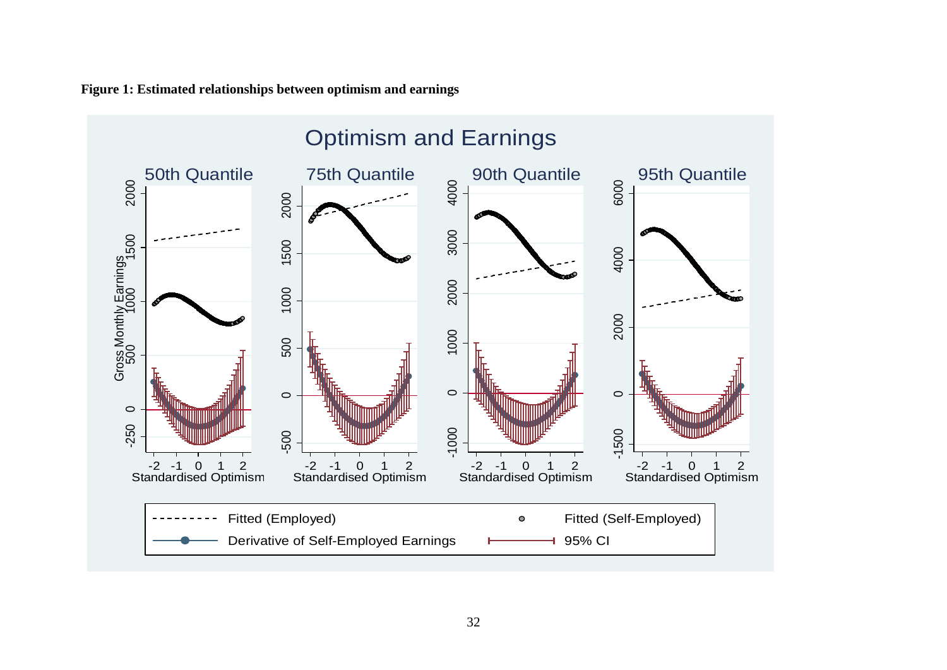

**Figure 1: Estimated relationships between optimism and earnings**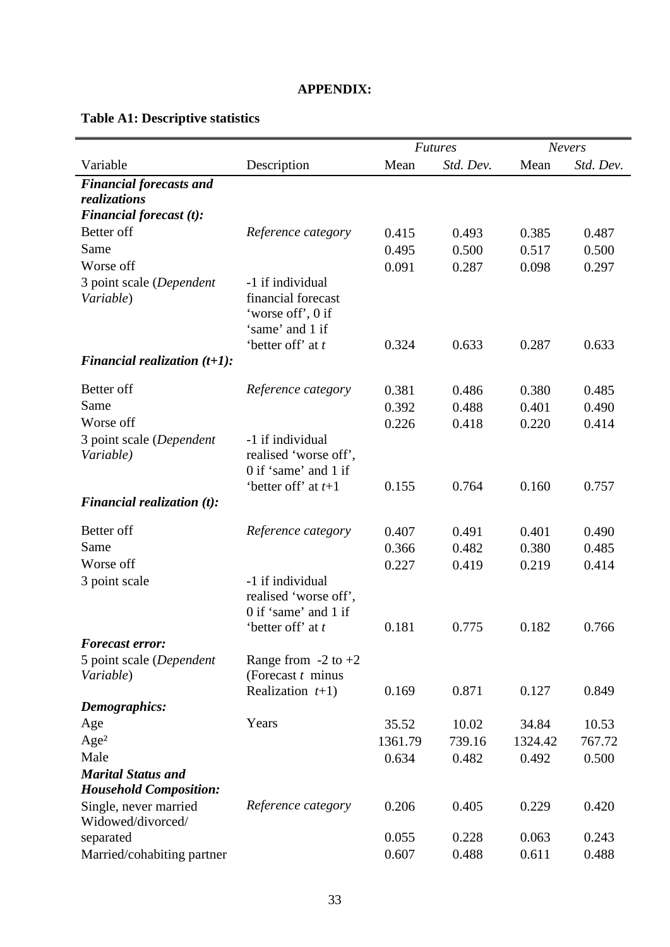### **APPENDIX:**

# **Table A1: Descriptive statistics**

|                                                            |                                                                                                     |         | <b>Futures</b> | <b>Nevers</b> |           |  |
|------------------------------------------------------------|-----------------------------------------------------------------------------------------------------|---------|----------------|---------------|-----------|--|
| Variable                                                   | Description                                                                                         | Mean    | Std. Dev.      | Mean          | Std. Dev. |  |
| <b>Financial forecasts and</b>                             |                                                                                                     |         |                |               |           |  |
| <i>realizations</i>                                        |                                                                                                     |         |                |               |           |  |
| Financial forecast (t):                                    |                                                                                                     |         |                |               |           |  |
| Better off                                                 | Reference category                                                                                  | 0.415   | 0.493          | 0.385         | 0.487     |  |
| Same                                                       |                                                                                                     | 0.495   | 0.500          | 0.517         | 0.500     |  |
| Worse off                                                  |                                                                                                     | 0.091   | 0.287          | 0.098         | 0.297     |  |
| 3 point scale (Dependent<br>Variable)                      | -1 if individual<br>financial forecast<br>'worse off', 0 if<br>'same' and 1 if<br>'better off' at t | 0.324   | 0.633          | 0.287         | 0.633     |  |
| Financial realization $(t+1)$ :                            |                                                                                                     |         |                |               |           |  |
|                                                            |                                                                                                     |         |                |               |           |  |
| Better off                                                 | Reference category                                                                                  | 0.381   | 0.486          | 0.380         | 0.485     |  |
| Same                                                       |                                                                                                     | 0.392   | 0.488          | 0.401         | 0.490     |  |
| Worse off                                                  |                                                                                                     | 0.226   | 0.418          | 0.220         | 0.414     |  |
| 3 point scale (Dependent<br>Variable)                      | -1 if individual<br>realised 'worse off',<br>0 if 'same' and 1 if                                   |         |                |               |           |  |
|                                                            | 'better off' at $t+1$                                                                               | 0.155   | 0.764          | 0.160         | 0.757     |  |
| Financial realization $(t)$ :                              |                                                                                                     |         |                |               |           |  |
| Better off                                                 | Reference category                                                                                  | 0.407   | 0.491          | 0.401         | 0.490     |  |
| Same                                                       |                                                                                                     | 0.366   | 0.482          | 0.380         | 0.485     |  |
| Worse off                                                  |                                                                                                     | 0.227   | 0.419          | 0.219         | 0.414     |  |
| 3 point scale                                              | -1 if individual<br>realised 'worse off',<br>0 if 'same' and 1 if<br>'better off' at t              | 0.181   | 0.775          | 0.182         | 0.766     |  |
| <b>Forecast error:</b>                                     |                                                                                                     |         |                |               |           |  |
| 5 point scale (Dependent<br>Variable)                      | Range from $-2$ to $+2$<br>(Forecast $t$ minus                                                      |         |                |               |           |  |
|                                                            | Realization $t+1$ )                                                                                 | 0.169   | 0.871          | 0.127         | 0.849     |  |
| Demographics:                                              |                                                                                                     |         |                |               |           |  |
| Age                                                        | Years                                                                                               | 35.52   | 10.02          | 34.84         | 10.53     |  |
| Age <sup>2</sup>                                           |                                                                                                     | 1361.79 | 739.16         | 1324.42       | 767.72    |  |
| Male                                                       |                                                                                                     | 0.634   | 0.482          | 0.492         | 0.500     |  |
| <b>Marital Status and</b><br><b>Household Composition:</b> |                                                                                                     |         |                |               |           |  |
| Single, never married<br>Widowed/divorced/                 | Reference category                                                                                  | 0.206   | 0.405          | 0.229         | 0.420     |  |
| separated                                                  |                                                                                                     | 0.055   | 0.228          | 0.063         | 0.243     |  |
| Married/cohabiting partner                                 |                                                                                                     | 0.607   | 0.488          | 0.611         | 0.488     |  |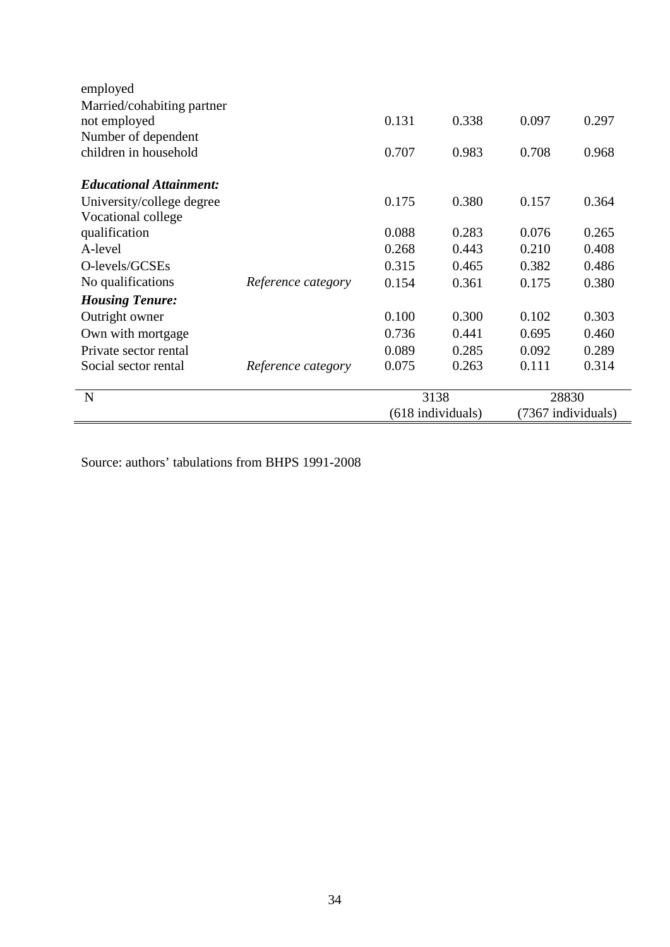|                                |                    |       | (618 individuals) |       | (7367 individuals) |
|--------------------------------|--------------------|-------|-------------------|-------|--------------------|
| N                              |                    |       | 3138              |       | 28830              |
|                                | Reference category |       |                   |       |                    |
| Social sector rental           |                    | 0.075 | 0.263             | 0.111 | 0.314              |
| Private sector rental          |                    | 0.089 | 0.285             | 0.092 | 0.289              |
| Own with mortgage              |                    | 0.736 | 0.441             | 0.695 | 0.460              |
| Outright owner                 |                    | 0.100 | 0.300             | 0.102 | 0.303              |
| <b>Housing Tenure:</b>         |                    |       |                   |       |                    |
| No qualifications              | Reference category | 0.154 | 0.361             | 0.175 | 0.380              |
| O-levels/GCSEs                 |                    | 0.315 | 0.465             | 0.382 | 0.486              |
| A-level                        |                    | 0.268 | 0.443             | 0.210 | 0.408              |
| qualification                  |                    | 0.088 | 0.283             | 0.076 | 0.265              |
| Vocational college             |                    |       |                   |       |                    |
| University/college degree      |                    | 0.175 | 0.380             | 0.157 | 0.364              |
| <b>Educational Attainment:</b> |                    |       |                   |       |                    |
| children in household          |                    | 0.707 | 0.983             | 0.708 | 0.968              |
| Number of dependent            |                    |       |                   |       |                    |
| not employed                   |                    | 0.131 | 0.338             | 0.097 | 0.297              |
| Married/cohabiting partner     |                    |       |                   |       |                    |
| employed                       |                    |       |                   |       |                    |

Source: authors' tabulations from BHPS 1991-2008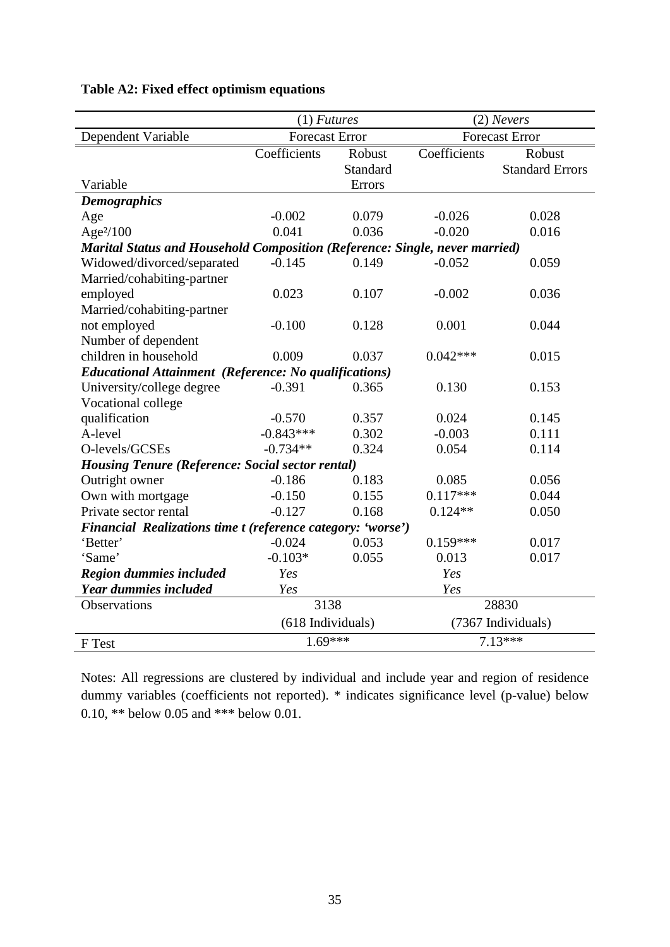|                                                                             | $(1)$ <i>Futures</i>  |          | $(2)$ Nevers |                        |  |  |
|-----------------------------------------------------------------------------|-----------------------|----------|--------------|------------------------|--|--|
| Dependent Variable                                                          | <b>Forecast Error</b> |          |              | <b>Forecast Error</b>  |  |  |
|                                                                             | Coefficients          | Robust   | Coefficients | Robust                 |  |  |
|                                                                             |                       | Standard |              | <b>Standard Errors</b> |  |  |
| Variable                                                                    |                       | Errors   |              |                        |  |  |
| <b>Demographics</b>                                                         |                       |          |              |                        |  |  |
| Age                                                                         | $-0.002$              | 0.079    | $-0.026$     | 0.028                  |  |  |
| Age <sup>2</sup> /100                                                       | 0.041                 | 0.036    | $-0.020$     | 0.016                  |  |  |
| Marital Status and Household Composition (Reference: Single, never married) |                       |          |              |                        |  |  |
| Widowed/divorced/separated                                                  | $-0.145$              | 0.149    | $-0.052$     | 0.059                  |  |  |
| Married/cohabiting-partner                                                  |                       |          |              |                        |  |  |
| employed                                                                    | 0.023                 | 0.107    | $-0.002$     | 0.036                  |  |  |
| Married/cohabiting-partner                                                  |                       |          |              |                        |  |  |
| not employed                                                                | $-0.100$              | 0.128    | 0.001        | 0.044                  |  |  |
| Number of dependent                                                         |                       |          |              |                        |  |  |
| children in household                                                       | 0.009                 | 0.037    | $0.042***$   | 0.015                  |  |  |
| <b>Educational Attainment (Reference: No qualifications)</b>                |                       |          |              |                        |  |  |
| University/college degree                                                   | $-0.391$              | 0.365    | 0.130        | 0.153                  |  |  |
| Vocational college                                                          |                       |          |              |                        |  |  |
| qualification                                                               | $-0.570$              | 0.357    | 0.024        | 0.145                  |  |  |
| A-level                                                                     | $-0.843***$           | 0.302    | $-0.003$     | 0.111                  |  |  |
| O-levels/GCSEs                                                              | $-0.734**$            | 0.324    | 0.054        | 0.114                  |  |  |
| <b>Housing Tenure (Reference: Social sector rental)</b>                     |                       |          |              |                        |  |  |
| Outright owner                                                              | $-0.186$              | 0.183    | 0.085        | 0.056                  |  |  |
| Own with mortgage                                                           | $-0.150$              | 0.155    | $0.117***$   | 0.044                  |  |  |
| Private sector rental                                                       | $-0.127$              | 0.168    | $0.124**$    | 0.050                  |  |  |
| Financial Realizations time t (reference category: 'worse')                 |                       |          |              |                        |  |  |
| 'Better'                                                                    | $-0.024$              | 0.053    | $0.159***$   | 0.017                  |  |  |
| 'Same'                                                                      | $-0.103*$             | 0.055    | 0.013        | 0.017                  |  |  |
| <b>Region dummies included</b>                                              | Yes                   |          | Yes          |                        |  |  |
| <b>Year dummies included</b>                                                | Yes                   |          | Yes          |                        |  |  |
| Observations                                                                | 3138                  |          |              | 28830                  |  |  |
|                                                                             | (618 Individuals)     |          |              | (7367 Individuals)     |  |  |
| F Test                                                                      | $1.69***$             |          |              | $7.13***$              |  |  |

### **Table A2: Fixed effect optimism equations**

Notes: All regressions are clustered by individual and include year and region of residence dummy variables (coefficients not reported). \* indicates significance level (p-value) below 0.10, \*\* below 0.05 and \*\*\* below 0.01.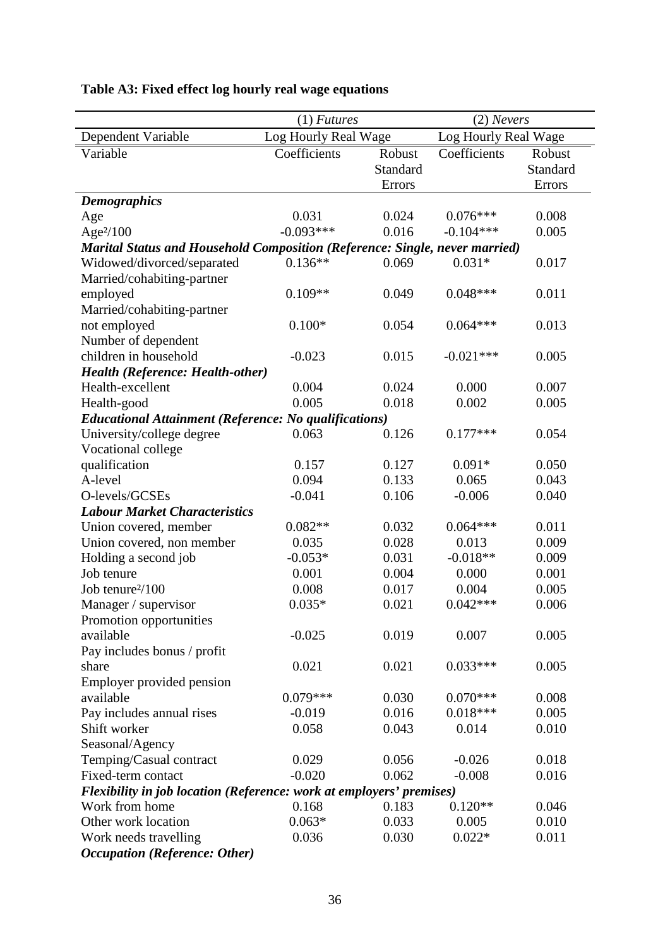| Dependent Variable<br>Log Hourly Real Wage<br>Log Hourly Real Wage<br>Coefficients<br>Coefficients<br>Variable<br>Robust<br>Robust<br>Standard<br>Standard<br>Errors<br>Errors<br><b>Demographics</b><br>0.031<br>0.024<br>$0.076***$<br>0.008<br>Age<br>$-0.093***$<br>0.016<br>$-0.104***$<br>Age <sup>2</sup> /100<br>0.005<br><b>Marital Status and Household Composition (Reference: Single, never married)</b><br>$0.136**$<br>$0.031*$<br>Widowed/divorced/separated<br>0.069<br>0.017<br>Married/cohabiting-partner<br>0.011<br>$0.109**$<br>0.049<br>$0.048***$<br>employed<br>Married/cohabiting-partner<br>0.054<br>$0.100*$<br>$0.064***$<br>0.013<br>not employed<br>Number of dependent<br>children in household<br>$-0.023$<br>0.015<br>0.005<br>$-0.021***$<br><b>Health (Reference: Health-other)</b><br>0.004<br>0.024<br>0.000<br>0.007<br>Health-excellent<br>0.005<br>0.018<br>0.002<br>0.005<br>Health-good<br><b>Educational Attainment (Reference: No qualifications)</b><br>University/college degree<br>0.063<br>0.126<br>$0.177***$<br>0.054<br>Vocational college<br>0.157<br>0.127<br>$0.091*$<br>0.050<br>qualification<br>0.094<br>0.133<br>A-level<br>0.065<br>0.043<br>O-levels/GCSEs<br>0.106<br>0.040<br>$-0.041$<br>$-0.006$<br><b>Labour Market Characteristics</b><br>$0.082**$<br>0.032<br>$0.064***$<br>0.011<br>Union covered, member<br>0.028<br>0.013<br>Union covered, non member<br>0.035<br>0.009<br>0.031<br>$-0.018**$<br>Holding a second job<br>$-0.053*$<br>0.009<br>Job tenure<br>0.001<br>0.004<br>0.000<br>0.001 |
|------------------------------------------------------------------------------------------------------------------------------------------------------------------------------------------------------------------------------------------------------------------------------------------------------------------------------------------------------------------------------------------------------------------------------------------------------------------------------------------------------------------------------------------------------------------------------------------------------------------------------------------------------------------------------------------------------------------------------------------------------------------------------------------------------------------------------------------------------------------------------------------------------------------------------------------------------------------------------------------------------------------------------------------------------------------------------------------------------------------------------------------------------------------------------------------------------------------------------------------------------------------------------------------------------------------------------------------------------------------------------------------------------------------------------------------------------------------------------------------------------------------------------------------------------------------------|
|                                                                                                                                                                                                                                                                                                                                                                                                                                                                                                                                                                                                                                                                                                                                                                                                                                                                                                                                                                                                                                                                                                                                                                                                                                                                                                                                                                                                                                                                                                                                                                        |
|                                                                                                                                                                                                                                                                                                                                                                                                                                                                                                                                                                                                                                                                                                                                                                                                                                                                                                                                                                                                                                                                                                                                                                                                                                                                                                                                                                                                                                                                                                                                                                        |
|                                                                                                                                                                                                                                                                                                                                                                                                                                                                                                                                                                                                                                                                                                                                                                                                                                                                                                                                                                                                                                                                                                                                                                                                                                                                                                                                                                                                                                                                                                                                                                        |
|                                                                                                                                                                                                                                                                                                                                                                                                                                                                                                                                                                                                                                                                                                                                                                                                                                                                                                                                                                                                                                                                                                                                                                                                                                                                                                                                                                                                                                                                                                                                                                        |
|                                                                                                                                                                                                                                                                                                                                                                                                                                                                                                                                                                                                                                                                                                                                                                                                                                                                                                                                                                                                                                                                                                                                                                                                                                                                                                                                                                                                                                                                                                                                                                        |
|                                                                                                                                                                                                                                                                                                                                                                                                                                                                                                                                                                                                                                                                                                                                                                                                                                                                                                                                                                                                                                                                                                                                                                                                                                                                                                                                                                                                                                                                                                                                                                        |
|                                                                                                                                                                                                                                                                                                                                                                                                                                                                                                                                                                                                                                                                                                                                                                                                                                                                                                                                                                                                                                                                                                                                                                                                                                                                                                                                                                                                                                                                                                                                                                        |
|                                                                                                                                                                                                                                                                                                                                                                                                                                                                                                                                                                                                                                                                                                                                                                                                                                                                                                                                                                                                                                                                                                                                                                                                                                                                                                                                                                                                                                                                                                                                                                        |
|                                                                                                                                                                                                                                                                                                                                                                                                                                                                                                                                                                                                                                                                                                                                                                                                                                                                                                                                                                                                                                                                                                                                                                                                                                                                                                                                                                                                                                                                                                                                                                        |
|                                                                                                                                                                                                                                                                                                                                                                                                                                                                                                                                                                                                                                                                                                                                                                                                                                                                                                                                                                                                                                                                                                                                                                                                                                                                                                                                                                                                                                                                                                                                                                        |
|                                                                                                                                                                                                                                                                                                                                                                                                                                                                                                                                                                                                                                                                                                                                                                                                                                                                                                                                                                                                                                                                                                                                                                                                                                                                                                                                                                                                                                                                                                                                                                        |
|                                                                                                                                                                                                                                                                                                                                                                                                                                                                                                                                                                                                                                                                                                                                                                                                                                                                                                                                                                                                                                                                                                                                                                                                                                                                                                                                                                                                                                                                                                                                                                        |
|                                                                                                                                                                                                                                                                                                                                                                                                                                                                                                                                                                                                                                                                                                                                                                                                                                                                                                                                                                                                                                                                                                                                                                                                                                                                                                                                                                                                                                                                                                                                                                        |
|                                                                                                                                                                                                                                                                                                                                                                                                                                                                                                                                                                                                                                                                                                                                                                                                                                                                                                                                                                                                                                                                                                                                                                                                                                                                                                                                                                                                                                                                                                                                                                        |
|                                                                                                                                                                                                                                                                                                                                                                                                                                                                                                                                                                                                                                                                                                                                                                                                                                                                                                                                                                                                                                                                                                                                                                                                                                                                                                                                                                                                                                                                                                                                                                        |
|                                                                                                                                                                                                                                                                                                                                                                                                                                                                                                                                                                                                                                                                                                                                                                                                                                                                                                                                                                                                                                                                                                                                                                                                                                                                                                                                                                                                                                                                                                                                                                        |
|                                                                                                                                                                                                                                                                                                                                                                                                                                                                                                                                                                                                                                                                                                                                                                                                                                                                                                                                                                                                                                                                                                                                                                                                                                                                                                                                                                                                                                                                                                                                                                        |
|                                                                                                                                                                                                                                                                                                                                                                                                                                                                                                                                                                                                                                                                                                                                                                                                                                                                                                                                                                                                                                                                                                                                                                                                                                                                                                                                                                                                                                                                                                                                                                        |
|                                                                                                                                                                                                                                                                                                                                                                                                                                                                                                                                                                                                                                                                                                                                                                                                                                                                                                                                                                                                                                                                                                                                                                                                                                                                                                                                                                                                                                                                                                                                                                        |
|                                                                                                                                                                                                                                                                                                                                                                                                                                                                                                                                                                                                                                                                                                                                                                                                                                                                                                                                                                                                                                                                                                                                                                                                                                                                                                                                                                                                                                                                                                                                                                        |
|                                                                                                                                                                                                                                                                                                                                                                                                                                                                                                                                                                                                                                                                                                                                                                                                                                                                                                                                                                                                                                                                                                                                                                                                                                                                                                                                                                                                                                                                                                                                                                        |
|                                                                                                                                                                                                                                                                                                                                                                                                                                                                                                                                                                                                                                                                                                                                                                                                                                                                                                                                                                                                                                                                                                                                                                                                                                                                                                                                                                                                                                                                                                                                                                        |
|                                                                                                                                                                                                                                                                                                                                                                                                                                                                                                                                                                                                                                                                                                                                                                                                                                                                                                                                                                                                                                                                                                                                                                                                                                                                                                                                                                                                                                                                                                                                                                        |
|                                                                                                                                                                                                                                                                                                                                                                                                                                                                                                                                                                                                                                                                                                                                                                                                                                                                                                                                                                                                                                                                                                                                                                                                                                                                                                                                                                                                                                                                                                                                                                        |
|                                                                                                                                                                                                                                                                                                                                                                                                                                                                                                                                                                                                                                                                                                                                                                                                                                                                                                                                                                                                                                                                                                                                                                                                                                                                                                                                                                                                                                                                                                                                                                        |
|                                                                                                                                                                                                                                                                                                                                                                                                                                                                                                                                                                                                                                                                                                                                                                                                                                                                                                                                                                                                                                                                                                                                                                                                                                                                                                                                                                                                                                                                                                                                                                        |
|                                                                                                                                                                                                                                                                                                                                                                                                                                                                                                                                                                                                                                                                                                                                                                                                                                                                                                                                                                                                                                                                                                                                                                                                                                                                                                                                                                                                                                                                                                                                                                        |
|                                                                                                                                                                                                                                                                                                                                                                                                                                                                                                                                                                                                                                                                                                                                                                                                                                                                                                                                                                                                                                                                                                                                                                                                                                                                                                                                                                                                                                                                                                                                                                        |
|                                                                                                                                                                                                                                                                                                                                                                                                                                                                                                                                                                                                                                                                                                                                                                                                                                                                                                                                                                                                                                                                                                                                                                                                                                                                                                                                                                                                                                                                                                                                                                        |
| 0.017<br>Job tenure <sup>2</sup> /100<br>0.008<br>0.004<br>0.005                                                                                                                                                                                                                                                                                                                                                                                                                                                                                                                                                                                                                                                                                                                                                                                                                                                                                                                                                                                                                                                                                                                                                                                                                                                                                                                                                                                                                                                                                                       |
| $0.042***$<br>$0.035*$<br>0.021<br>0.006<br>Manager / supervisor                                                                                                                                                                                                                                                                                                                                                                                                                                                                                                                                                                                                                                                                                                                                                                                                                                                                                                                                                                                                                                                                                                                                                                                                                                                                                                                                                                                                                                                                                                       |
| Promotion opportunities                                                                                                                                                                                                                                                                                                                                                                                                                                                                                                                                                                                                                                                                                                                                                                                                                                                                                                                                                                                                                                                                                                                                                                                                                                                                                                                                                                                                                                                                                                                                                |
| available<br>0.019<br>0.005<br>$-0.025$<br>0.007                                                                                                                                                                                                                                                                                                                                                                                                                                                                                                                                                                                                                                                                                                                                                                                                                                                                                                                                                                                                                                                                                                                                                                                                                                                                                                                                                                                                                                                                                                                       |
| Pay includes bonus / profit                                                                                                                                                                                                                                                                                                                                                                                                                                                                                                                                                                                                                                                                                                                                                                                                                                                                                                                                                                                                                                                                                                                                                                                                                                                                                                                                                                                                                                                                                                                                            |
| 0.021<br>0.021<br>$0.033***$<br>0.005<br>share                                                                                                                                                                                                                                                                                                                                                                                                                                                                                                                                                                                                                                                                                                                                                                                                                                                                                                                                                                                                                                                                                                                                                                                                                                                                                                                                                                                                                                                                                                                         |
| Employer provided pension                                                                                                                                                                                                                                                                                                                                                                                                                                                                                                                                                                                                                                                                                                                                                                                                                                                                                                                                                                                                                                                                                                                                                                                                                                                                                                                                                                                                                                                                                                                                              |
| $0.079***$<br>$0.070***$<br>0.030<br>0.008<br>available                                                                                                                                                                                                                                                                                                                                                                                                                                                                                                                                                                                                                                                                                                                                                                                                                                                                                                                                                                                                                                                                                                                                                                                                                                                                                                                                                                                                                                                                                                                |
| $0.018***$<br>0.016<br>Pay includes annual rises<br>$-0.019$<br>0.005                                                                                                                                                                                                                                                                                                                                                                                                                                                                                                                                                                                                                                                                                                                                                                                                                                                                                                                                                                                                                                                                                                                                                                                                                                                                                                                                                                                                                                                                                                  |
| Shift worker<br>0.058<br>0.043<br>0.014<br>0.010                                                                                                                                                                                                                                                                                                                                                                                                                                                                                                                                                                                                                                                                                                                                                                                                                                                                                                                                                                                                                                                                                                                                                                                                                                                                                                                                                                                                                                                                                                                       |
| Seasonal/Agency                                                                                                                                                                                                                                                                                                                                                                                                                                                                                                                                                                                                                                                                                                                                                                                                                                                                                                                                                                                                                                                                                                                                                                                                                                                                                                                                                                                                                                                                                                                                                        |
| Temping/Casual contract<br>0.029<br>0.056<br>$-0.026$<br>0.018                                                                                                                                                                                                                                                                                                                                                                                                                                                                                                                                                                                                                                                                                                                                                                                                                                                                                                                                                                                                                                                                                                                                                                                                                                                                                                                                                                                                                                                                                                         |
| Fixed-term contact<br>$-0.020$<br>0.062<br>$-0.008$<br>0.016                                                                                                                                                                                                                                                                                                                                                                                                                                                                                                                                                                                                                                                                                                                                                                                                                                                                                                                                                                                                                                                                                                                                                                                                                                                                                                                                                                                                                                                                                                           |
| Flexibility in job location (Reference: work at employers' premises)                                                                                                                                                                                                                                                                                                                                                                                                                                                                                                                                                                                                                                                                                                                                                                                                                                                                                                                                                                                                                                                                                                                                                                                                                                                                                                                                                                                                                                                                                                   |
| $0.120**$<br>Work from home<br>0.168<br>0.183<br>0.046                                                                                                                                                                                                                                                                                                                                                                                                                                                                                                                                                                                                                                                                                                                                                                                                                                                                                                                                                                                                                                                                                                                                                                                                                                                                                                                                                                                                                                                                                                                 |
| 0.010<br>Other work location<br>$0.063*$<br>0.033<br>0.005                                                                                                                                                                                                                                                                                                                                                                                                                                                                                                                                                                                                                                                                                                                                                                                                                                                                                                                                                                                                                                                                                                                                                                                                                                                                                                                                                                                                                                                                                                             |
| 0.036<br>0.030<br>$0.022*$<br>0.011<br>Work needs travelling                                                                                                                                                                                                                                                                                                                                                                                                                                                                                                                                                                                                                                                                                                                                                                                                                                                                                                                                                                                                                                                                                                                                                                                                                                                                                                                                                                                                                                                                                                           |
| <b>Occupation (Reference: Other)</b>                                                                                                                                                                                                                                                                                                                                                                                                                                                                                                                                                                                                                                                                                                                                                                                                                                                                                                                                                                                                                                                                                                                                                                                                                                                                                                                                                                                                                                                                                                                                   |

# **Table A3: Fixed effect log hourly real wage equations**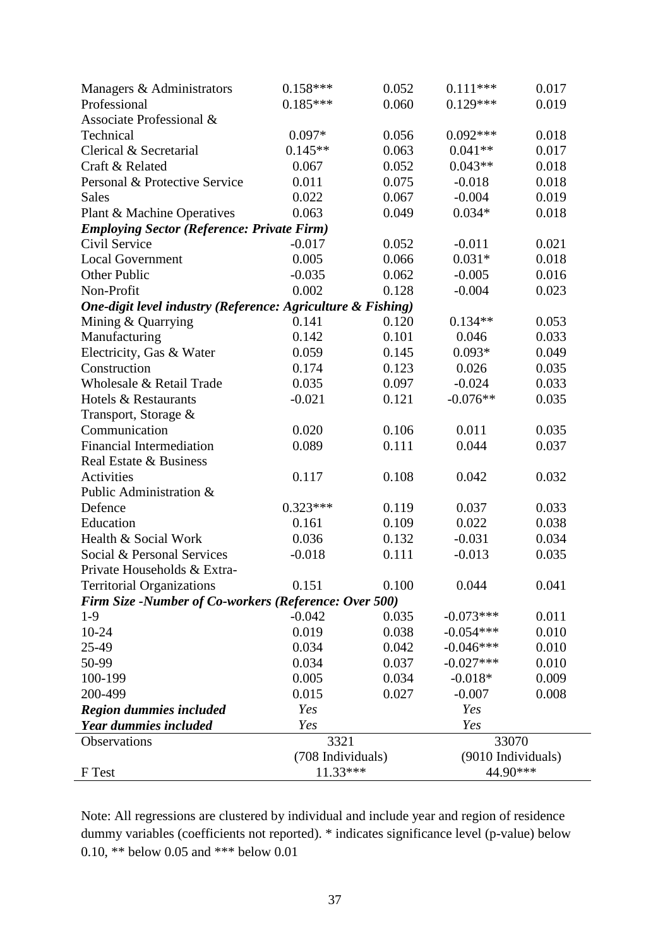| Managers & Administrators                                    | $0.158***$        | 0.052 | $0.111***$         | 0.017 |  |
|--------------------------------------------------------------|-------------------|-------|--------------------|-------|--|
| Professional                                                 | $0.185***$        | 0.060 | $0.129***$         | 0.019 |  |
| Associate Professional &                                     |                   |       |                    |       |  |
| Technical                                                    | $0.097*$          | 0.056 | $0.092***$         | 0.018 |  |
| Clerical & Secretarial                                       | $0.145**$         | 0.063 | $0.041**$          | 0.017 |  |
| Craft & Related                                              | 0.067             | 0.052 | $0.043**$          | 0.018 |  |
| Personal & Protective Service                                | 0.011             | 0.075 | $-0.018$           | 0.018 |  |
| <b>Sales</b>                                                 | 0.022             | 0.067 | $-0.004$           | 0.019 |  |
| Plant & Machine Operatives                                   | 0.063             | 0.049 | $0.034*$           | 0.018 |  |
| <b>Employing Sector (Reference: Private Firm)</b>            |                   |       |                    |       |  |
| Civil Service                                                | $-0.017$          | 0.052 | $-0.011$           | 0.021 |  |
| <b>Local Government</b>                                      | 0.005             | 0.066 | $0.031*$           | 0.018 |  |
| Other Public                                                 | $-0.035$          | 0.062 | $-0.005$           | 0.016 |  |
| Non-Profit                                                   | 0.002             | 0.128 | $-0.004$           | 0.023 |  |
| One-digit level industry (Reference: Agriculture & Fishing)  |                   |       |                    |       |  |
| Mining & Quarrying                                           | 0.141             | 0.120 | $0.134**$          | 0.053 |  |
| Manufacturing                                                | 0.142             | 0.101 | 0.046              | 0.033 |  |
| Electricity, Gas & Water                                     | 0.059             | 0.145 | $0.093*$           | 0.049 |  |
| Construction                                                 | 0.174             | 0.123 | 0.026              | 0.035 |  |
| Wholesale & Retail Trade                                     | 0.035             | 0.097 | $-0.024$           | 0.033 |  |
| Hotels & Restaurants                                         | $-0.021$          | 0.121 | $-0.076**$         | 0.035 |  |
| Transport, Storage &                                         |                   |       |                    |       |  |
| Communication                                                | 0.020             | 0.106 | 0.011              | 0.035 |  |
| <b>Financial Intermediation</b>                              | 0.089             | 0.111 | 0.044              | 0.037 |  |
| Real Estate & Business                                       |                   |       |                    |       |  |
| Activities                                                   | 0.117             | 0.108 | 0.042              | 0.032 |  |
| Public Administration &                                      |                   |       |                    |       |  |
| Defence                                                      | $0.323***$        | 0.119 | 0.037              | 0.033 |  |
| Education                                                    | 0.161             | 0.109 | 0.022              | 0.038 |  |
| Health & Social Work                                         | 0.036             | 0.132 | $-0.031$           | 0.034 |  |
| Social & Personal Services                                   | $-0.018$          | 0.111 | $-0.013$           | 0.035 |  |
| Private Households & Extra-                                  |                   |       |                    |       |  |
| <b>Territorial Organizations</b>                             | 0.151             | 0.100 | 0.044              | 0.041 |  |
| <b>Firm Size -Number of Co-workers (Reference: Over 500)</b> |                   |       |                    |       |  |
| $1-9$                                                        | $-0.042$          | 0.035 | $-0.073***$        | 0.011 |  |
| 10-24                                                        | 0.019             | 0.038 | $-0.054***$        | 0.010 |  |
| 25-49                                                        | 0.034             | 0.042 | $-0.046***$        | 0.010 |  |
| 50-99                                                        | 0.034             | 0.037 | $-0.027***$        | 0.010 |  |
| 100-199                                                      | 0.005             | 0.034 | $-0.018*$          | 0.009 |  |
| 200-499                                                      | 0.015             | 0.027 | $-0.007$           | 0.008 |  |
| Region dummies included                                      | Yes               |       | Yes                |       |  |
| Year dummies included                                        | Yes               |       | Yes                |       |  |
| Observations                                                 | 3321              |       | 33070              |       |  |
|                                                              | (708 Individuals) |       | (9010 Individuals) |       |  |
| F Test                                                       | 11.33***          |       | 44.90***           |       |  |

Note: All regressions are clustered by individual and include year and region of residence dummy variables (coefficients not reported). \* indicates significance level (p-value) below 0.10, \*\* below 0.05 and \*\*\* below 0.01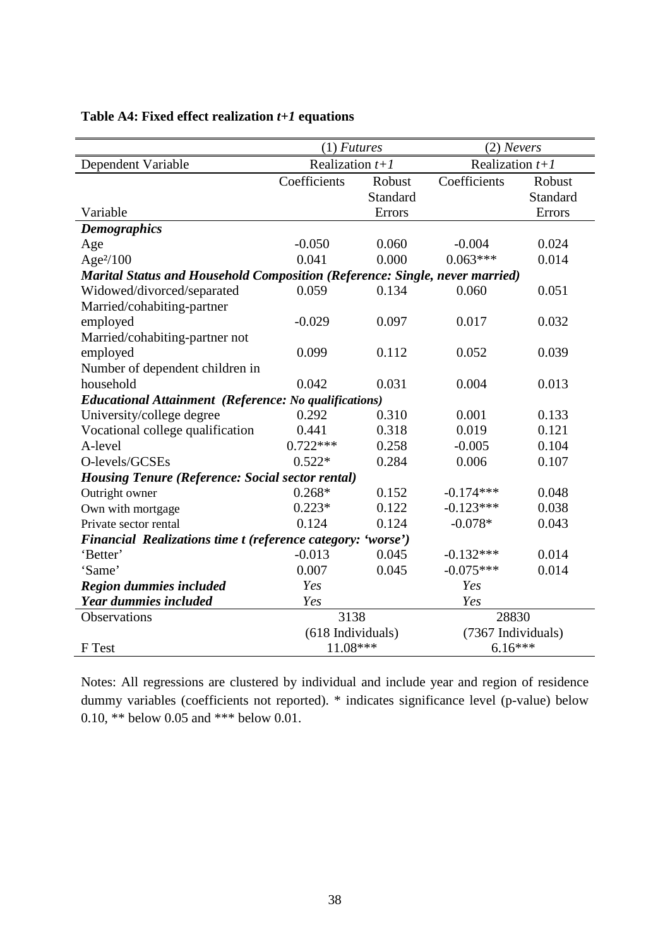|                                                                                    | $(1)$ <i>Futures</i> |          | $(2)$ Nevers       |          |  |
|------------------------------------------------------------------------------------|----------------------|----------|--------------------|----------|--|
| Dependent Variable                                                                 | Realization $t+1$    |          | Realization $t+1$  |          |  |
|                                                                                    | Coefficients         | Robust   | Coefficients       | Robust   |  |
|                                                                                    |                      | Standard |                    | Standard |  |
| Variable                                                                           |                      | Errors   |                    | Errors   |  |
| <b>Demographics</b>                                                                |                      |          |                    |          |  |
| Age                                                                                | $-0.050$             | 0.060    | $-0.004$           | 0.024    |  |
| Age <sup>2</sup> /100                                                              | 0.041                | 0.000    | $0.063***$         | 0.014    |  |
| <b>Marital Status and Household Composition (Reference: Single, never married)</b> |                      |          |                    |          |  |
| Widowed/divorced/separated                                                         | 0.059                | 0.134    | 0.060              | 0.051    |  |
| Married/cohabiting-partner                                                         |                      |          |                    |          |  |
| employed                                                                           | $-0.029$             | 0.097    | 0.017              | 0.032    |  |
| Married/cohabiting-partner not                                                     |                      |          |                    |          |  |
| employed                                                                           | 0.099                | 0.112    | 0.052              | 0.039    |  |
| Number of dependent children in                                                    |                      |          |                    |          |  |
| household                                                                          | 0.042                | 0.031    | 0.004              | 0.013    |  |
| <b>Educational Attainment (Reference: No qualifications)</b>                       |                      |          |                    |          |  |
| University/college degree                                                          | 0.292                | 0.310    | 0.001              | 0.133    |  |
| Vocational college qualification                                                   | 0.441                | 0.318    | 0.019              | 0.121    |  |
| A-level                                                                            | $0.722***$           | 0.258    | $-0.005$           | 0.104    |  |
| O-levels/GCSEs                                                                     | $0.522*$             | 0.284    | 0.006              | 0.107    |  |
| <b>Housing Tenure (Reference: Social sector rental)</b>                            |                      |          |                    |          |  |
| Outright owner                                                                     | $0.268*$             | 0.152    | $-0.174***$        | 0.048    |  |
| Own with mortgage                                                                  | $0.223*$             | 0.122    | $-0.123***$        | 0.038    |  |
| Private sector rental                                                              | 0.124                | 0.124    | $-0.078*$          | 0.043    |  |
| Financial Realizations time t (reference category: 'worse')                        |                      |          |                    |          |  |
| 'Better'                                                                           | $-0.013$             | 0.045    | $-0.132***$        | 0.014    |  |
| 'Same'                                                                             | 0.007                | 0.045    | $-0.075***$        | 0.014    |  |
| <b>Region dummies included</b>                                                     | Yes                  |          | Yes                |          |  |
| Year dummies included                                                              | Yes                  |          | Yes                |          |  |
| Observations                                                                       | 3138                 |          | 28830              |          |  |
|                                                                                    | (618 Individuals)    |          | (7367 Individuals) |          |  |
| F Test                                                                             | 11.08***             |          | $6.16***$          |          |  |

### **Table A4: Fixed effect realization** *t+1* **equations**

Notes: All regressions are clustered by individual and include year and region of residence dummy variables (coefficients not reported). \* indicates significance level (p-value) below 0.10, \*\* below 0.05 and \*\*\* below 0.01.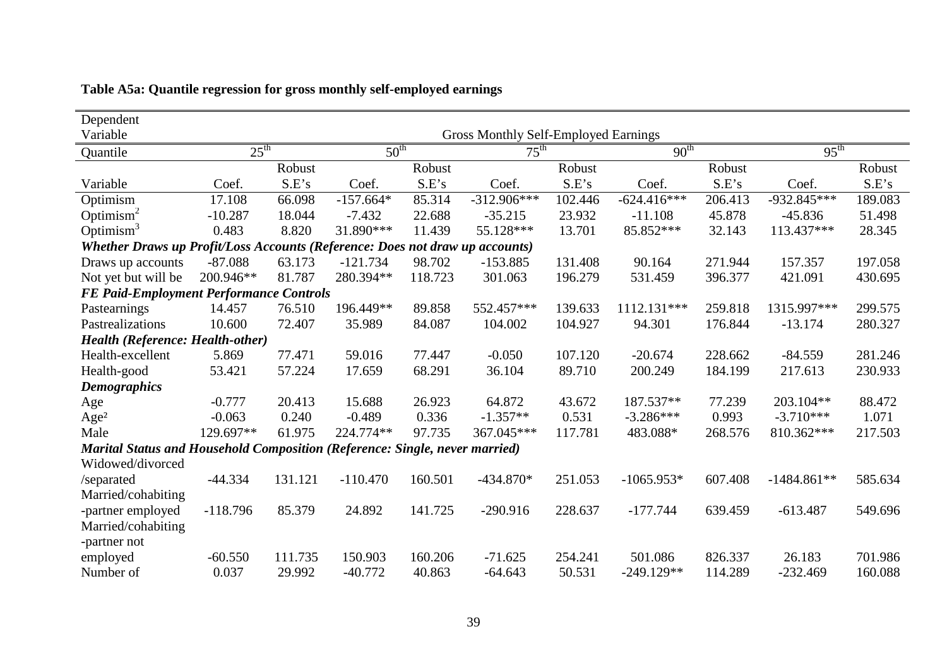| Dependent                                                                          |                  |         |                  |         |                                             |         |                  |         |                  |         |
|------------------------------------------------------------------------------------|------------------|---------|------------------|---------|---------------------------------------------|---------|------------------|---------|------------------|---------|
| Variable                                                                           |                  |         |                  |         | <b>Gross Monthly Self-Employed Earnings</b> |         |                  |         |                  |         |
| Quantile                                                                           | $25^{\text{th}}$ |         | $50^{\text{th}}$ |         | $75^{\text{th}}$                            |         | 90 <sup>th</sup> |         | $95^{\text{th}}$ |         |
|                                                                                    |                  | Robust  |                  | Robust  |                                             | Robust  |                  | Robust  |                  | Robust  |
| Variable                                                                           | Coef.            | S.E's   | Coef.            | S.E's   | Coef.                                       | S.E's   | Coef.            | S.E's   | Coef.            | S.E's   |
| Optimism                                                                           | 17.108           | 66.098  | $-157.664*$      | 85.314  | $-312.906***$                               | 102.446 | $-624.416***$    | 206.413 | $-932.845***$    | 189.083 |
| Optimism $2$                                                                       | $-10.287$        | 18.044  | $-7.432$         | 22.688  | $-35.215$                                   | 23.932  | $-11.108$        | 45.878  | $-45.836$        | 51.498  |
| Optimism $3$                                                                       | 0.483            | 8.820   | 31.890***        | 11.439  | 55.128***                                   | 13.701  | 85.852***        | 32.143  | 113.437***       | 28.345  |
| Whether Draws up Profit/Loss Accounts (Reference: Does not draw up accounts)       |                  |         |                  |         |                                             |         |                  |         |                  |         |
| Draws up accounts                                                                  | $-87.088$        | 63.173  | $-121.734$       | 98.702  | $-153.885$                                  | 131.408 | 90.164           | 271.944 | 157.357          | 197.058 |
| Not yet but will be                                                                | 200.946**        | 81.787  | 280.394**        | 118.723 | 301.063                                     | 196.279 | 531.459          | 396.377 | 421.091          | 430.695 |
| <b>FE Paid-Employment Performance Controls</b>                                     |                  |         |                  |         |                                             |         |                  |         |                  |         |
| Pastearnings                                                                       | 14.457           | 76.510  | 196.449**        | 89.858  | 552.457***                                  | 139.633 | 1112.131***      | 259.818 | 1315.997***      | 299.575 |
| Pastrealizations                                                                   | 10.600           | 72.407  | 35.989           | 84.087  | 104.002                                     | 104.927 | 94.301           | 176.844 | $-13.174$        | 280.327 |
| <b>Health (Reference: Health-other)</b>                                            |                  |         |                  |         |                                             |         |                  |         |                  |         |
| Health-excellent                                                                   | 5.869            | 77.471  | 59.016           | 77.447  | $-0.050$                                    | 107.120 | $-20.674$        | 228.662 | $-84.559$        | 281.246 |
| Health-good                                                                        | 53.421           | 57.224  | 17.659           | 68.291  | 36.104                                      | 89.710  | 200.249          | 184.199 | 217.613          | 230.933 |
| <b>Demographics</b>                                                                |                  |         |                  |         |                                             |         |                  |         |                  |         |
| Age                                                                                | $-0.777$         | 20.413  | 15.688           | 26.923  | 64.872                                      | 43.672  | 187.537**        | 77.239  | 203.104**        | 88.472  |
| Age <sup>2</sup>                                                                   | $-0.063$         | 0.240   | $-0.489$         | 0.336   | $-1.357**$                                  | 0.531   | $-3.286***$      | 0.993   | $-3.710***$      | 1.071   |
| Male                                                                               | 129.697**        | 61.975  | 224.774**        | 97.735  | 367.045***                                  | 117.781 | 483.088*         | 268.576 | 810.362***       | 217.503 |
| <b>Marital Status and Household Composition (Reference: Single, never married)</b> |                  |         |                  |         |                                             |         |                  |         |                  |         |
| Widowed/divorced                                                                   |                  |         |                  |         |                                             |         |                  |         |                  |         |
| /separated                                                                         | $-44.334$        | 131.121 | $-110.470$       | 160.501 | $-434.870*$                                 | 251.053 | $-1065.953*$     | 607.408 | $-1484.861**$    | 585.634 |
| Married/cohabiting                                                                 |                  |         |                  |         |                                             |         |                  |         |                  |         |
| -partner employed                                                                  | $-118.796$       | 85.379  | 24.892           | 141.725 | $-290.916$                                  | 228.637 | $-177.744$       | 639.459 | $-613.487$       | 549.696 |
| Married/cohabiting                                                                 |                  |         |                  |         |                                             |         |                  |         |                  |         |
| -partner not                                                                       |                  |         |                  |         |                                             |         |                  |         |                  |         |
| employed                                                                           | $-60.550$        | 111.735 | 150.903          | 160.206 | $-71.625$                                   | 254.241 | 501.086          | 826.337 | 26.183           | 701.986 |
| Number of                                                                          | 0.037            | 29.992  | $-40.772$        | 40.863  | $-64.643$                                   | 50.531  | $-249.129**$     | 114.289 | $-232.469$       | 160.088 |

|  |  |  |  |  |  | Table A5a: Quantile regression for gross monthly self-employed earnings |  |
|--|--|--|--|--|--|-------------------------------------------------------------------------|--|
|--|--|--|--|--|--|-------------------------------------------------------------------------|--|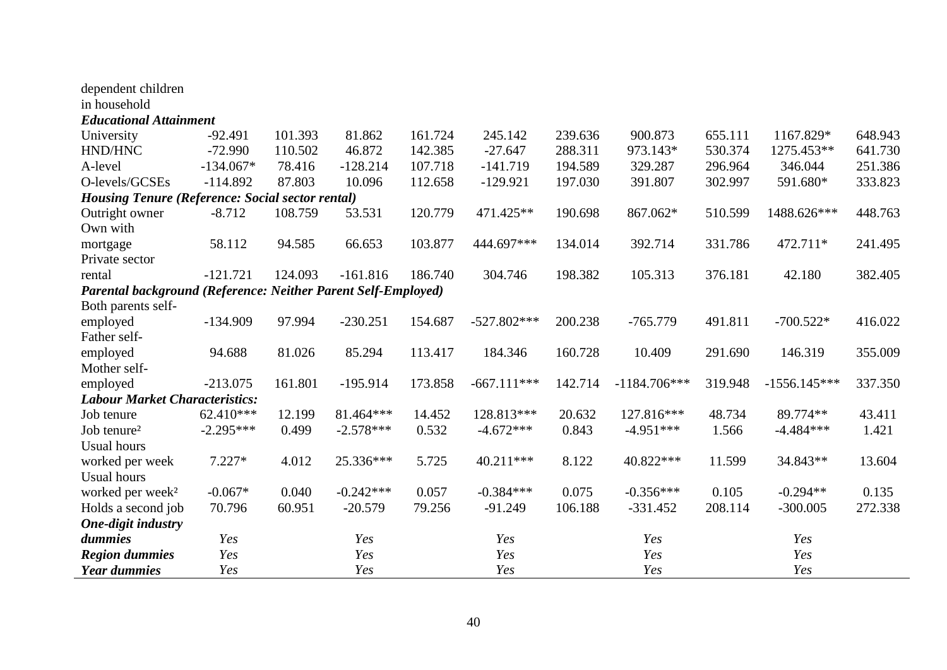| dependent children                                            |             |         |             |         |               |         |                |         |                |         |
|---------------------------------------------------------------|-------------|---------|-------------|---------|---------------|---------|----------------|---------|----------------|---------|
| in household                                                  |             |         |             |         |               |         |                |         |                |         |
| <b>Educational Attainment</b>                                 |             |         |             |         |               |         |                |         |                |         |
| University                                                    | $-92.491$   | 101.393 | 81.862      | 161.724 | 245.142       | 239.636 | 900.873        | 655.111 | 1167.829*      | 648.943 |
| HND/HNC                                                       | $-72.990$   | 110.502 | 46.872      | 142.385 | $-27.647$     | 288.311 | 973.143*       | 530.374 | 1275.453**     | 641.730 |
| A-level                                                       | $-134.067*$ | 78.416  | $-128.214$  | 107.718 | $-141.719$    | 194.589 | 329.287        | 296.964 | 346.044        | 251.386 |
| O-levels/GCSEs                                                | $-114.892$  | 87.803  | 10.096      | 112.658 | $-129.921$    | 197.030 | 391.807        | 302.997 | 591.680*       | 333.823 |
| <b>Housing Tenure (Reference: Social sector rental)</b>       |             |         |             |         |               |         |                |         |                |         |
| Outright owner                                                | $-8.712$    | 108.759 | 53.531      | 120.779 | 471.425**     | 190.698 | 867.062*       | 510.599 | 1488.626***    | 448.763 |
| Own with                                                      |             |         |             |         |               |         |                |         |                |         |
| mortgage                                                      | 58.112      | 94.585  | 66.653      | 103.877 | 444.697***    | 134.014 | 392.714        | 331.786 | 472.711*       | 241.495 |
| Private sector                                                |             |         |             |         |               |         |                |         |                |         |
| rental                                                        | $-121.721$  | 124.093 | $-161.816$  | 186.740 | 304.746       | 198.382 | 105.313        | 376.181 | 42.180         | 382.405 |
| Parental background (Reference: Neither Parent Self-Employed) |             |         |             |         |               |         |                |         |                |         |
| Both parents self-                                            |             |         |             |         |               |         |                |         |                |         |
| employed                                                      | $-134.909$  | 97.994  | $-230.251$  | 154.687 | $-527.802***$ | 200.238 | $-765.779$     | 491.811 | $-700.522*$    | 416.022 |
| Father self-                                                  |             |         |             |         |               |         |                |         |                |         |
| employed                                                      | 94.688      | 81.026  | 85.294      | 113.417 | 184.346       | 160.728 | 10.409         | 291.690 | 146.319        | 355.009 |
| Mother self-                                                  |             |         |             |         |               |         |                |         |                |         |
| employed                                                      | $-213.075$  | 161.801 | $-195.914$  | 173.858 | $-667.111***$ | 142.714 | $-1184.706***$ | 319.948 | $-1556.145***$ | 337.350 |
| <b>Labour Market Characteristics:</b>                         |             |         |             |         |               |         |                |         |                |         |
| Job tenure                                                    | 62.410***   | 12.199  | 81.464***   | 14.452  | 128.813***    | 20.632  | 127.816***     | 48.734  | 89.774**       | 43.411  |
| Job tenure <sup>2</sup>                                       | $-2.295***$ | 0.499   | $-2.578***$ | 0.532   | $-4.672***$   | 0.843   | $-4.951***$    | 1.566   | $-4.484***$    | 1.421   |
| <b>Usual hours</b>                                            |             |         |             |         |               |         |                |         |                |         |
| worked per week                                               | $7.227*$    | 4.012   | 25.336***   | 5.725   | 40.211***     | 8.122   | 40.822***      | 11.599  | 34.843**       | 13.604  |
| <b>Usual hours</b>                                            |             |         |             |         |               |         |                |         |                |         |
| worked per week <sup>2</sup>                                  | $-0.067*$   | 0.040   | $-0.242***$ | 0.057   | $-0.384***$   | 0.075   | $-0.356***$    | 0.105   | $-0.294**$     | 0.135   |
| Holds a second job                                            | 70.796      | 60.951  | $-20.579$   | 79.256  | $-91.249$     | 106.188 | $-331.452$     | 208.114 | $-300.005$     | 272.338 |
| One-digit industry                                            |             |         |             |         |               |         |                |         |                |         |
| dummies                                                       | Yes         |         | Yes         |         | Yes           |         | Yes            |         | Yes            |         |
| <b>Region dummies</b>                                         | Yes         |         | Yes         |         | Yes           |         | Yes            |         | Yes            |         |
| <b>Year dummies</b>                                           | Yes         |         | Yes         |         | Yes           |         | Yes            |         | Yes            |         |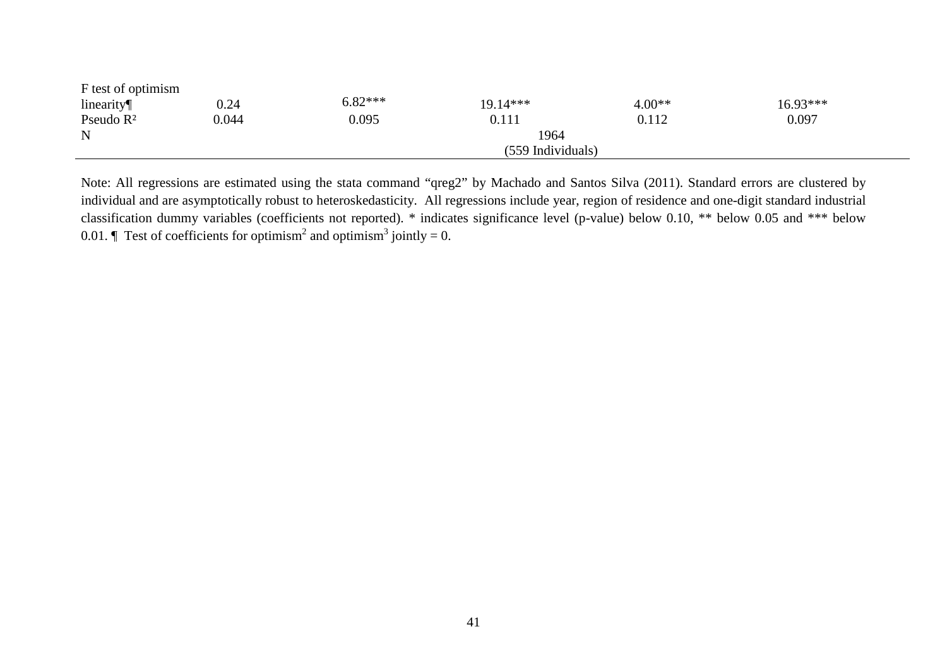| F test of optimism |                   |           |          |          |          |  |  |  |  |
|--------------------|-------------------|-----------|----------|----------|----------|--|--|--|--|
| linearity          | 0.24              | $6.82***$ | 19.14*** | $4.00**$ | 16.93*** |  |  |  |  |
| Pseudo $R^2$       | 0.044             | 0.095     | 0.111    | 0.112    | 0.097    |  |  |  |  |
| N                  | 1964              |           |          |          |          |  |  |  |  |
|                    | (559 Individuals) |           |          |          |          |  |  |  |  |

Note: All regressions are estimated using the stata command "qreg2" by Machado and Santos Silva (2011). Standard errors are clustered by individual and are asymptotically robust to heteroskedasticity. All regressions include year, region of residence and one-digit standard industrial classification dummy variables (coefficients not reported). \* indicates significance level (p-value) below 0.10, \*\* below 0.05 and \*\*\* below 0.01.  $\parallel$  Test of coefficients for optimism<sup>2</sup> and optimism<sup>3</sup> jointly = 0.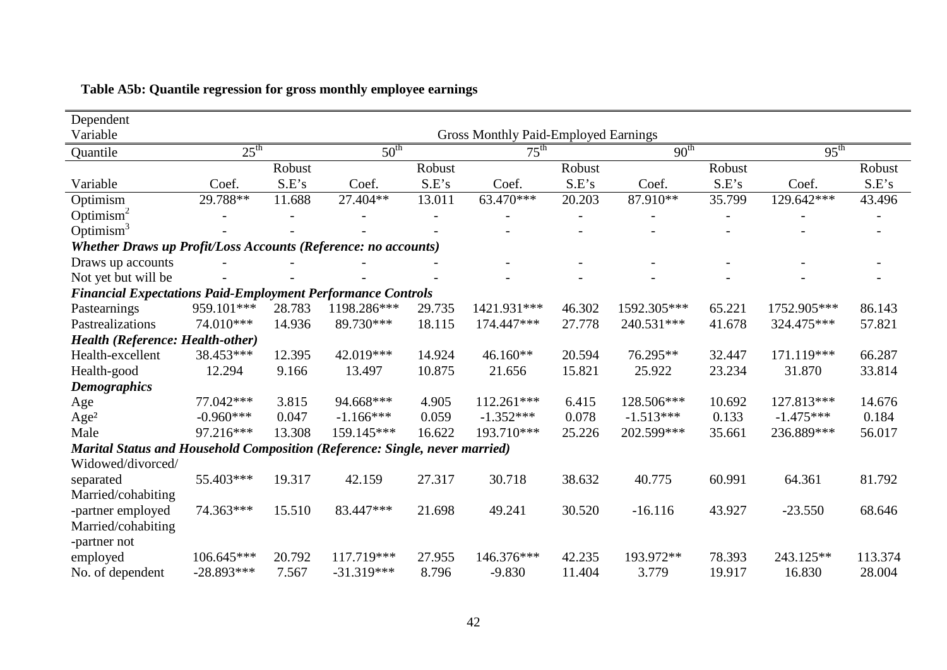| Dependent                                                                          |                                             |        |                  |        |                  |        |                  |        |                  |         |
|------------------------------------------------------------------------------------|---------------------------------------------|--------|------------------|--------|------------------|--------|------------------|--------|------------------|---------|
| Variable                                                                           | <b>Gross Monthly Paid-Employed Earnings</b> |        |                  |        |                  |        |                  |        |                  |         |
| Quantile                                                                           | $25^{\text{th}}$                            |        | $50^{\text{th}}$ |        | $75^{\text{th}}$ |        | 90 <sup>th</sup> |        | $95^{\text{th}}$ |         |
|                                                                                    |                                             | Robust |                  | Robust |                  | Robust |                  | Robust |                  | Robust  |
| Variable                                                                           | Coef.                                       | S.E's  | Coef.            | S.E's  | Coef.            | S.E's  | Coef.            | S.E's  | Coef.            | S.E's   |
| Optimism                                                                           | 29.788**                                    | 11.688 | 27.404**         | 13.011 | 63.470***        | 20.203 | 87.910**         | 35.799 | 129.642***       | 43.496  |
| Optimism <sup>2</sup>                                                              |                                             |        |                  |        |                  |        |                  |        |                  |         |
| Optimism $3$                                                                       |                                             |        |                  |        |                  |        |                  |        |                  |         |
| Whether Draws up Profit/Loss Accounts (Reference: no accounts)                     |                                             |        |                  |        |                  |        |                  |        |                  |         |
| Draws up accounts                                                                  |                                             |        |                  |        |                  |        |                  |        |                  |         |
| Not yet but will be                                                                |                                             |        |                  |        |                  |        |                  |        |                  |         |
| <b>Financial Expectations Paid-Employment Performance Controls</b>                 |                                             |        |                  |        |                  |        |                  |        |                  |         |
| Pastearnings                                                                       | 959.101***                                  | 28.783 | 1198.286***      | 29.735 | 1421.931***      | 46.302 | 1592.305***      | 65.221 | 1752.905***      | 86.143  |
| Pastrealizations                                                                   | 74.010***                                   | 14.936 | 89.730***        | 18.115 | 174.447***       | 27.778 | 240.531***       | 41.678 | 324.475***       | 57.821  |
| <b>Health (Reference: Health-other)</b>                                            |                                             |        |                  |        |                  |        |                  |        |                  |         |
| Health-excellent                                                                   | 38.453***                                   | 12.395 | 42.019***        | 14.924 | 46.160**         | 20.594 | 76.295**         | 32.447 | 171.119***       | 66.287  |
| Health-good                                                                        | 12.294                                      | 9.166  | 13.497           | 10.875 | 21.656           | 15.821 | 25.922           | 23.234 | 31.870           | 33.814  |
| <b>Demographics</b>                                                                |                                             |        |                  |        |                  |        |                  |        |                  |         |
| Age                                                                                | 77.042***                                   | 3.815  | 94.668***        | 4.905  | 112.261***       | 6.415  | 128.506***       | 10.692 | 127.813***       | 14.676  |
| Age <sup>2</sup>                                                                   | $-0.960***$                                 | 0.047  | $-1.166***$      | 0.059  | $-1.352***$      | 0.078  | $-1.513***$      | 0.133  | $-1.475***$      | 0.184   |
| Male                                                                               | 97.216***                                   | 13.308 | 159.145***       | 16.622 | 193.710***       | 25.226 | 202.599***       | 35.661 | 236.889***       | 56.017  |
| <b>Marital Status and Household Composition (Reference: Single, never married)</b> |                                             |        |                  |        |                  |        |                  |        |                  |         |
| Widowed/divorced/                                                                  |                                             |        |                  |        |                  |        |                  |        |                  |         |
| separated                                                                          | 55.403***                                   | 19.317 | 42.159           | 27.317 | 30.718           | 38.632 | 40.775           | 60.991 | 64.361           | 81.792  |
| Married/cohabiting                                                                 |                                             |        |                  |        |                  |        |                  |        |                  |         |
| -partner employed                                                                  | 74.363***                                   | 15.510 | 83.447***        | 21.698 | 49.241           | 30.520 | $-16.116$        | 43.927 | $-23.550$        | 68.646  |
| Married/cohabiting                                                                 |                                             |        |                  |        |                  |        |                  |        |                  |         |
| -partner not                                                                       |                                             |        |                  |        |                  |        |                  |        |                  |         |
| employed                                                                           | 106.645***                                  | 20.792 | 117.719***       | 27.955 | 146.376***       | 42.235 | 193.972**        | 78.393 | 243.125**        | 113.374 |
| No. of dependent                                                                   | $-28.893***$                                | 7.567  | $-31.319***$     | 8.796  | $-9.830$         | 11.404 | 3.779            | 19.917 | 16.830           | 28.004  |

### **Table A5b: Quantile regression for gross monthly employee earnings**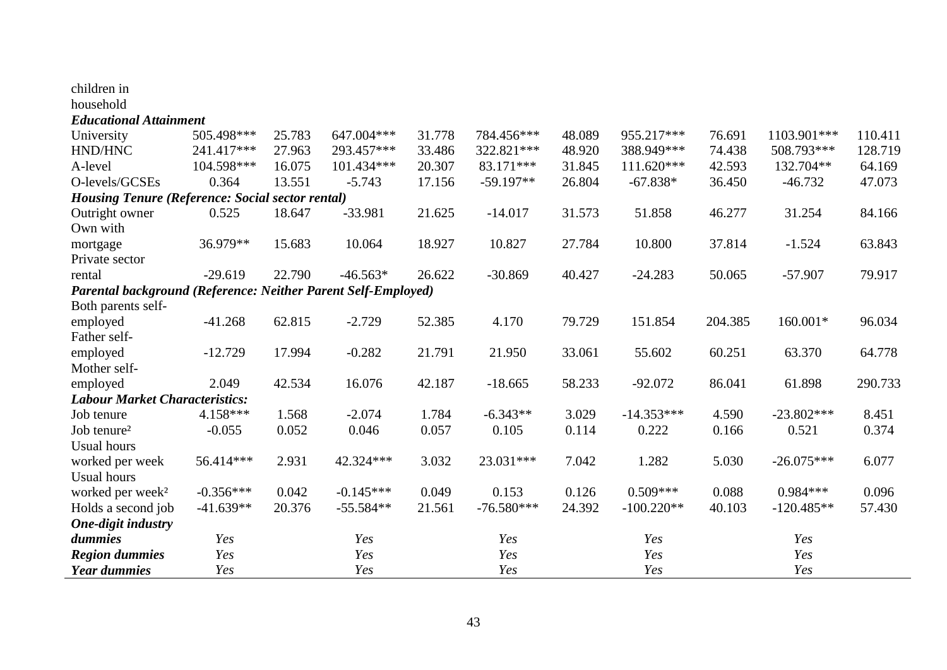| household                                                     |             |        |              |        |              |        |              |         |              |         |
|---------------------------------------------------------------|-------------|--------|--------------|--------|--------------|--------|--------------|---------|--------------|---------|
| <b>Educational Attainment</b>                                 |             |        |              |        |              |        |              |         |              |         |
| University                                                    | 505.498***  | 25.783 | 647.004***   | 31.778 | 784.456***   | 48.089 | 955.217***   | 76.691  | 1103.901***  | 110.411 |
| HND/HNC                                                       | 241.417***  | 27.963 | 293.457***   | 33.486 | 322.821***   | 48.920 | 388.949***   | 74.438  | 508.793***   | 128.719 |
| A-level                                                       | 104.598***  | 16.075 | $101.434***$ | 20.307 | 83.171***    | 31.845 | 111.620***   | 42.593  | 132.704**    | 64.169  |
| O-levels/GCSEs                                                | 0.364       | 13.551 | $-5.743$     | 17.156 | $-59.197**$  | 26.804 | $-67.838*$   | 36.450  | $-46.732$    | 47.073  |
| <b>Housing Tenure (Reference: Social sector rental)</b>       |             |        |              |        |              |        |              |         |              |         |
| Outright owner                                                | 0.525       | 18.647 | $-33.981$    | 21.625 | $-14.017$    | 31.573 | 51.858       | 46.277  | 31.254       | 84.166  |
| Own with                                                      |             |        |              |        |              |        |              |         |              |         |
| mortgage                                                      | 36.979**    | 15.683 | 10.064       | 18.927 | 10.827       | 27.784 | 10.800       | 37.814  | $-1.524$     | 63.843  |
| Private sector                                                |             |        |              |        |              |        |              |         |              |         |
| rental                                                        | $-29.619$   | 22.790 | $-46.563*$   | 26.622 | $-30.869$    | 40.427 | $-24.283$    | 50.065  | $-57.907$    | 79.917  |
| Parental background (Reference: Neither Parent Self-Employed) |             |        |              |        |              |        |              |         |              |         |
| Both parents self-                                            |             |        |              |        |              |        |              |         |              |         |
| employed                                                      | $-41.268$   | 62.815 | $-2.729$     | 52.385 | 4.170        | 79.729 | 151.854      | 204.385 | 160.001*     | 96.034  |
| Father self-                                                  |             |        |              |        |              |        |              |         |              |         |
| employed                                                      | $-12.729$   | 17.994 | $-0.282$     | 21.791 | 21.950       | 33.061 | 55.602       | 60.251  | 63.370       | 64.778  |
| Mother self-                                                  |             |        |              |        |              |        |              |         |              |         |
| employed                                                      | 2.049       | 42.534 | 16.076       | 42.187 | $-18.665$    | 58.233 | $-92.072$    | 86.041  | 61.898       | 290.733 |
| <b>Labour Market Characteristics:</b>                         |             |        |              |        |              |        |              |         |              |         |
| Job tenure                                                    | $4.158***$  | 1.568  | $-2.074$     | 1.784  | $-6.343**$   | 3.029  | $-14.353***$ | 4.590   | $-23.802***$ | 8.451   |
| Job tenure <sup>2</sup>                                       | $-0.055$    | 0.052  | 0.046        | 0.057  | 0.105        | 0.114  | 0.222        | 0.166   | 0.521        | 0.374   |
| <b>Usual hours</b>                                            |             |        |              |        |              |        |              |         |              |         |
| worked per week                                               | 56.414***   | 2.931  | 42.324 ***   | 3.032  | 23.031***    | 7.042  | 1.282        | 5.030   | $-26.075***$ | 6.077   |
| <b>Usual hours</b>                                            |             |        |              |        |              |        |              |         |              |         |
| worked per week <sup>2</sup>                                  | $-0.356***$ | 0.042  | $-0.145***$  | 0.049  | 0.153        | 0.126  | $0.509***$   | 0.088   | $0.984***$   | 0.096   |
| Holds a second job                                            | $-41.639**$ | 20.376 | $-55.584**$  | 21.561 | $-76.580***$ | 24.392 | $-100.220**$ | 40.103  | $-120.485**$ | 57.430  |
| <b>One-digit industry</b>                                     |             |        |              |        |              |        |              |         |              |         |
| dummies                                                       | Yes         |        | Yes          |        | Yes          |        | Yes          |         | Yes          |         |
| <b>Region dummies</b>                                         | Yes         |        | Yes          |        | Yes          |        | Yes          |         | Yes          |         |
| <b>Year dummies</b>                                           | Yes         |        | Yes          |        | Yes          |        | Yes          |         | Yes          |         |

children in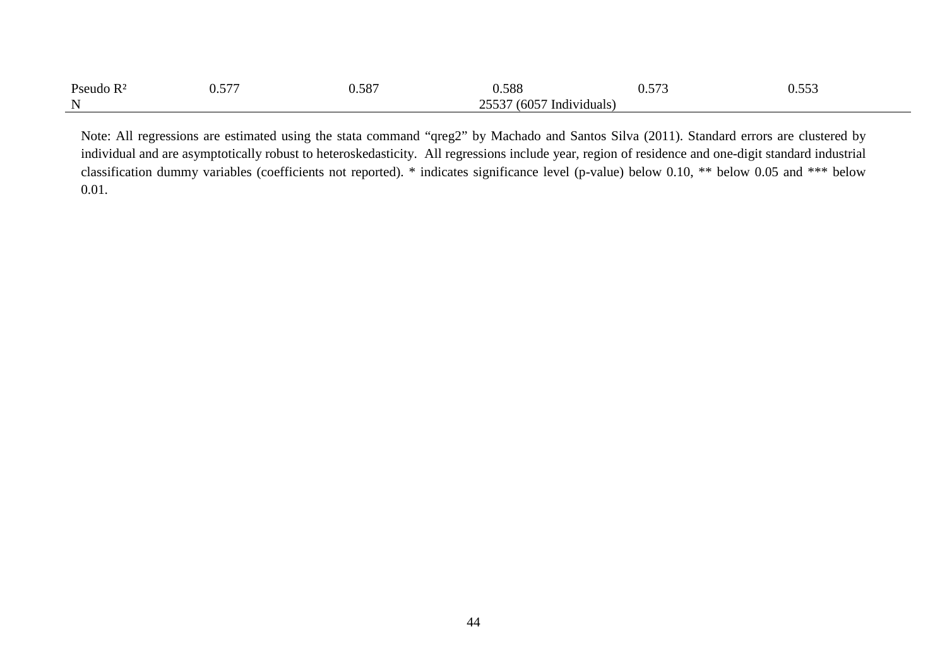| Pseudo<br>$R^2$ | F <sub>77</sub><br>$\overline{\phantom{a}}$<br>◡•◡ ៸ | EOP<br><u>u.do,</u> | 0.588                       | $  \sim$<br><u>v.vij</u> | $- - -$ |
|-----------------|------------------------------------------------------|---------------------|-----------------------------|--------------------------|---------|
| N               |                                                      |                     | (6057)<br>Individuals<br>~~ |                          |         |

Note: All regressions are estimated using the stata command "qreg2" by Machado and Santos Silva (2011). Standard errors are clustered by individual and are asymptotically robust to heteroskedasticity. All regressions include year, region of residence and one-digit standard industrial classification dummy variables (coefficients not reported). \* indicates significance level (p-value) below 0.10, \*\* below 0.05 and \*\*\* below 0.01.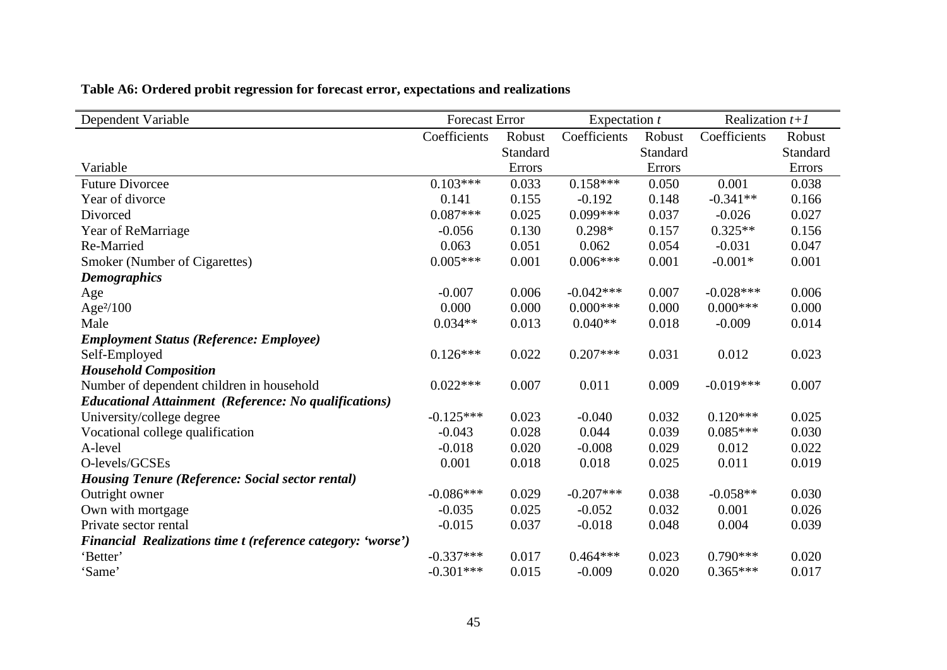| Dependent Variable                                           | <b>Forecast Error</b> |          | Expectation $t$ |          | Realization $t+1$ |          |
|--------------------------------------------------------------|-----------------------|----------|-----------------|----------|-------------------|----------|
|                                                              | Coefficients          | Robust   | Coefficients    | Robust   | Coefficients      | Robust   |
|                                                              |                       | Standard |                 | Standard |                   | Standard |
| Variable                                                     |                       | Errors   |                 | Errors   |                   | Errors   |
| <b>Future Divorcee</b>                                       | $0.103***$            | 0.033    | $0.158***$      | 0.050    | 0.001             | 0.038    |
| Year of divorce                                              | 0.141                 | 0.155    | $-0.192$        | 0.148    | $-0.341**$        | 0.166    |
| Divorced                                                     | $0.087***$            | 0.025    | $0.099***$      | 0.037    | $-0.026$          | 0.027    |
| Year of ReMarriage                                           | $-0.056$              | 0.130    | $0.298*$        | 0.157    | $0.325**$         | 0.156    |
| Re-Married                                                   | 0.063                 | 0.051    | 0.062           | 0.054    | $-0.031$          | 0.047    |
| Smoker (Number of Cigarettes)                                | $0.005***$            | 0.001    | $0.006***$      | 0.001    | $-0.001*$         | 0.001    |
| <b>Demographics</b>                                          |                       |          |                 |          |                   |          |
| Age                                                          | $-0.007$              | 0.006    | $-0.042***$     | 0.007    | $-0.028***$       | 0.006    |
| Age <sup>2</sup> /100                                        | 0.000                 | 0.000    | $0.000$ ***     | 0.000    | $0.000***$        | 0.000    |
| Male                                                         | $0.034**$             | 0.013    | $0.040**$       | 0.018    | $-0.009$          | 0.014    |
| <b>Employment Status (Reference: Employee)</b>               |                       |          |                 |          |                   |          |
| Self-Employed                                                | $0.126***$            | 0.022    | $0.207***$      | 0.031    | 0.012             | 0.023    |
| <b>Household Composition</b>                                 |                       |          |                 |          |                   |          |
| Number of dependent children in household                    | $0.022***$            | 0.007    | 0.011           | 0.009    | $-0.019***$       | 0.007    |
| <b>Educational Attainment (Reference: No qualifications)</b> |                       |          |                 |          |                   |          |
| University/college degree                                    | $-0.125***$           | 0.023    | $-0.040$        | 0.032    | $0.120***$        | 0.025    |
| Vocational college qualification                             | $-0.043$              | 0.028    | 0.044           | 0.039    | $0.085***$        | 0.030    |
| A-level                                                      | $-0.018$              | 0.020    | $-0.008$        | 0.029    | 0.012             | 0.022    |
| O-levels/GCSEs                                               | 0.001                 | 0.018    | 0.018           | 0.025    | 0.011             | 0.019    |
| <b>Housing Tenure (Reference: Social sector rental)</b>      |                       |          |                 |          |                   |          |
| Outright owner                                               | $-0.086***$           | 0.029    | $-0.207***$     | 0.038    | $-0.058**$        | 0.030    |
| Own with mortgage                                            | $-0.035$              | 0.025    | $-0.052$        | 0.032    | 0.001             | 0.026    |
| Private sector rental                                        | $-0.015$              | 0.037    | $-0.018$        | 0.048    | 0.004             | 0.039    |
| Financial Realizations time t (reference category: 'worse')  |                       |          |                 |          |                   |          |
| 'Better'                                                     | $-0.337***$           | 0.017    | $0.464***$      | 0.023    | $0.790***$        | 0.020    |
| 'Same'                                                       | $-0.301***$           | 0.015    | $-0.009$        | 0.020    | $0.365***$        | 0.017    |

**Table A6: Ordered probit regression for forecast error, expectations and realizations**